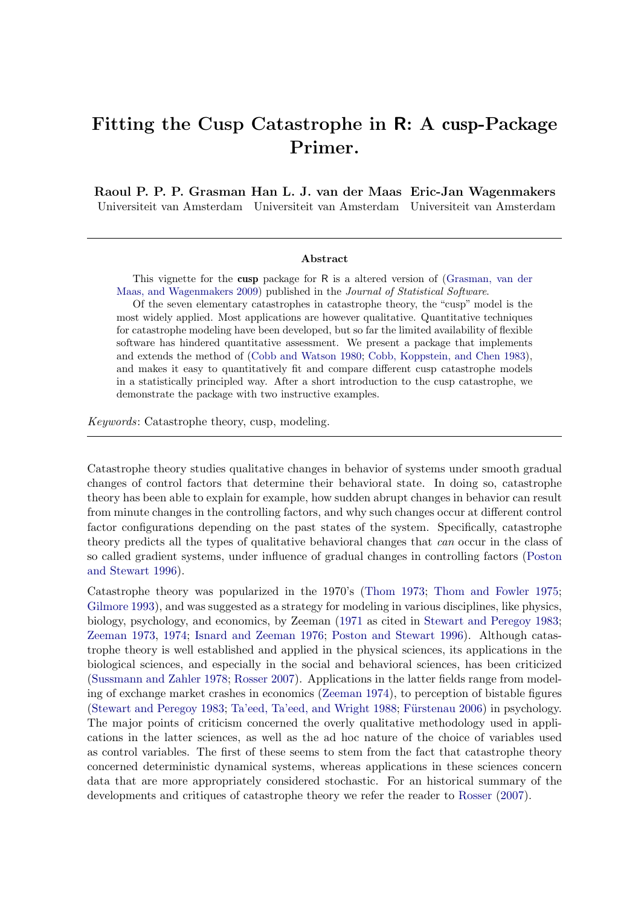# Fitting the Cusp Catastrophe in R: A cusp-Package Primer.

Raoul P. P. P. Grasman Han L. J. van der Maas Eric-Jan Wagenmakers Universiteit van Amsterdam Universiteit van Amsterdam Universiteit van Amsterdam

#### Abstract

This vignette for the cusp package for R is a altered version of [\(Grasman, van der](#page-21-0) [Maas, and Wagenmakers](#page-21-0) [2009\)](#page-21-0) published in the Journal of Statistical Software.

Of the seven elementary catastrophes in catastrophe theory, the "cusp" model is the most widely applied. Most applications are however qualitative. Quantitative techniques for catastrophe modeling have been developed, but so far the limited availability of flexible software has hindered quantitative assessment. We present a package that implements and extends the method of [\(Cobb and Watson](#page-20-0) [1980;](#page-20-0) [Cobb, Koppstein, and Chen](#page-20-1) [1983\)](#page-20-1), and makes it easy to quantitatively fit and compare different cusp catastrophe models in a statistically principled way. After a short introduction to the cusp catastrophe, we demonstrate the package with two instructive examples.

Keywords: Catastrophe theory, cusp, modeling.

Catastrophe theory studies qualitative changes in behavior of systems under smooth gradual changes of control factors that determine their behavioral state. In doing so, catastrophe theory has been able to explain for example, how sudden abrupt changes in behavior can result from minute changes in the controlling factors, and why such changes occur at different control factor configurations depending on the past states of the system. Specifically, catastrophe theory predicts all the types of qualitative behavioral changes that can occur in the class of so called gradient systems, under influence of gradual changes in controlling factors [\(Poston](#page-21-1) [and Stewart](#page-21-1) [1996\)](#page-21-1).

Catastrophe theory was popularized in the 1970's [\(Thom](#page-22-0) [1973;](#page-22-0) [Thom and Fowler](#page-22-1) [1975;](#page-22-1) [Gilmore](#page-21-2) [1993\)](#page-21-2), and was suggested as a strategy for modeling in various disciplines, like physics, biology, psychology, and economics, by Zeeman [\(1971](#page-22-2) as cited in [Stewart and Peregoy](#page-22-3) [1983;](#page-22-3) [Zeeman](#page-22-4) [1973,](#page-22-4) [1974;](#page-22-5) [Isnard and Zeeman](#page-21-3) [1976;](#page-21-3) [Poston and Stewart](#page-21-1) [1996\)](#page-21-1). Although catastrophe theory is well established and applied in the physical sciences, its applications in the biological sciences, and especially in the social and behavioral sciences, has been criticized [\(Sussmann and Zahler](#page-22-6) [1978;](#page-22-6) [Rosser](#page-21-4) [2007\)](#page-21-4). Applications in the latter fields range from modeling of exchange market crashes in economics [\(Zeeman](#page-22-5) [1974\)](#page-22-5), to perception of bistable figures [\(Stewart and Peregoy](#page-22-3) [1983;](#page-22-3) [Ta'eed, Ta'eed, and Wright](#page-22-7) [1988;](#page-22-7) Fürstenau  $2006$ ) in psychology. The major points of criticism concerned the overly qualitative methodology used in applications in the latter sciences, as well as the ad hoc nature of the choice of variables used as control variables. The first of these seems to stem from the fact that catastrophe theory concerned deterministic dynamical systems, whereas applications in these sciences concern data that are more appropriately considered stochastic. For an historical summary of the developments and critiques of catastrophe theory we refer the reader to [Rosser](#page-21-4) [\(2007\)](#page-21-4).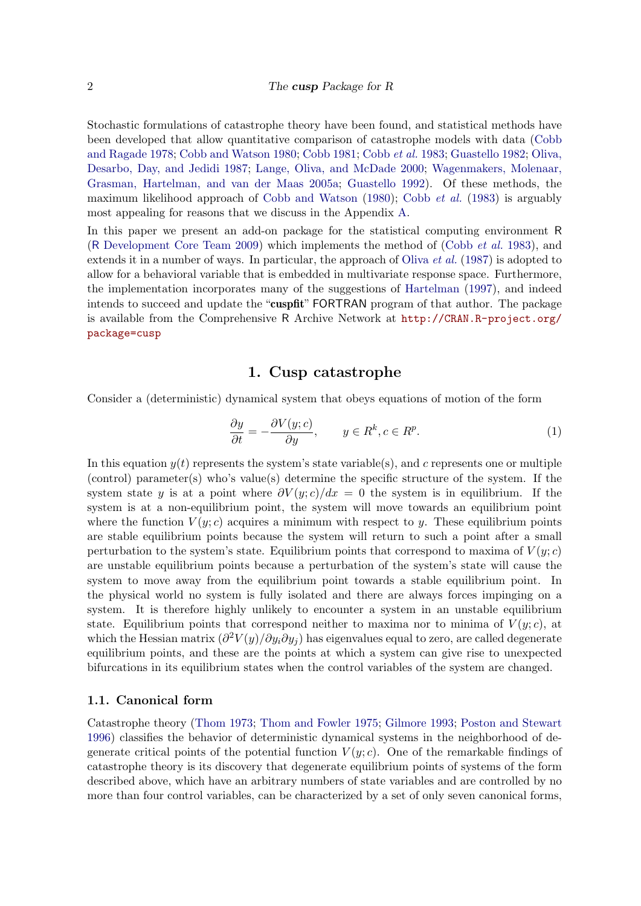Stochastic formulations of catastrophe theory have been found, and statistical methods have been developed that allow quantitative comparison of catastrophe models with data [\(Cobb](#page-20-2) [and Ragade](#page-20-2) [1978;](#page-20-2) [Cobb and Watson](#page-20-0) [1980;](#page-20-0) [Cobb](#page-20-3) [1981;](#page-20-3) [Cobb](#page-20-1) et al. [1983;](#page-20-1) [Guastello](#page-21-6) [1982;](#page-21-6) [Oliva,](#page-21-7) [Desarbo, Day, and Jedidi](#page-21-7) [1987;](#page-21-7) [Lange, Oliva, and McDade](#page-21-8) [2000;](#page-21-8) [Wagenmakers, Molenaar,](#page-22-8) [Grasman, Hartelman, and van der Maas](#page-22-8) [2005a;](#page-22-8) [Guastello](#page-21-9) [1992\)](#page-21-9). Of these methods, the maximum likelihood approach of [Cobb and Watson](#page-20-0) [\(1980\)](#page-20-0); [Cobb](#page-20-1) et al. [\(1983\)](#page-20-1) is arguably most appealing for reasons that we discuss in the Appendix [A.](#page-22-9)

In this paper we present an add-on package for the statistical computing environment R (R [Development Core Team](#page-21-10) [2009\)](#page-21-10) which implements the method of [\(Cobb](#page-20-1) et al. [1983\)](#page-20-1), and extends it in a number of ways. In particular, the approach of [Oliva](#page-21-7) et al. [\(1987\)](#page-21-7) is adopted to allow for a behavioral variable that is embedded in multivariate response space. Furthermore, the implementation incorporates many of the suggestions of [Hartelman](#page-21-11) [\(1997\)](#page-21-11), and indeed intends to succeed and update the "cuspfit" FORTRAN program of that author. The package is available from the Comprehensive R Archive Network at [http://CRAN.R-project.org/](http://CRAN.R-project.org/package=cusp) [package=cusp](http://CRAN.R-project.org/package=cusp)

## <span id="page-1-0"></span>1. Cusp catastrophe

Consider a (deterministic) dynamical system that obeys equations of motion of the form

$$
\frac{\partial y}{\partial t} = -\frac{\partial V(y; c)}{\partial y}, \qquad y \in R^k, c \in R^p. \tag{1}
$$

In this equation  $y(t)$  represents the system's state variable(s), and c represents one or multiple (control) parameter(s) who's value(s) determine the specific structure of the system. If the system state y is at a point where  $\frac{\partial V(y; c)}{dx} = 0$  the system is in equilibrium. If the system is at a non-equilibrium point, the system will move towards an equilibrium point where the function  $V(y; c)$  acquires a minimum with respect to y. These equilibrium points are stable equilibrium points because the system will return to such a point after a small perturbation to the system's state. Equilibrium points that correspond to maxima of  $V(y; c)$ are unstable equilibrium points because a perturbation of the system's state will cause the system to move away from the equilibrium point towards a stable equilibrium point. In the physical world no system is fully isolated and there are always forces impinging on a system. It is therefore highly unlikely to encounter a system in an unstable equilibrium state. Equilibrium points that correspond neither to maxima nor to minima of  $V(y; c)$ , at which the Hessian matrix  $\left(\frac{\partial^2 V(y)}{\partial y_i \partial y_j}\right)$  has eigenvalues equal to zero, are called degenerate equilibrium points, and these are the points at which a system can give rise to unexpected bifurcations in its equilibrium states when the control variables of the system are changed.

#### 1.1. Canonical form

Catastrophe theory [\(Thom](#page-22-0) [1973;](#page-22-0) [Thom and Fowler](#page-22-1) [1975;](#page-22-1) [Gilmore](#page-21-2) [1993;](#page-21-2) [Poston and Stewart](#page-21-1) [1996\)](#page-21-1) classifies the behavior of deterministic dynamical systems in the neighborhood of degenerate critical points of the potential function  $V(y; c)$ . One of the remarkable findings of catastrophe theory is its discovery that degenerate equilibrium points of systems of the form described above, which have an arbitrary numbers of state variables and are controlled by no more than four control variables, can be characterized by a set of only seven canonical forms,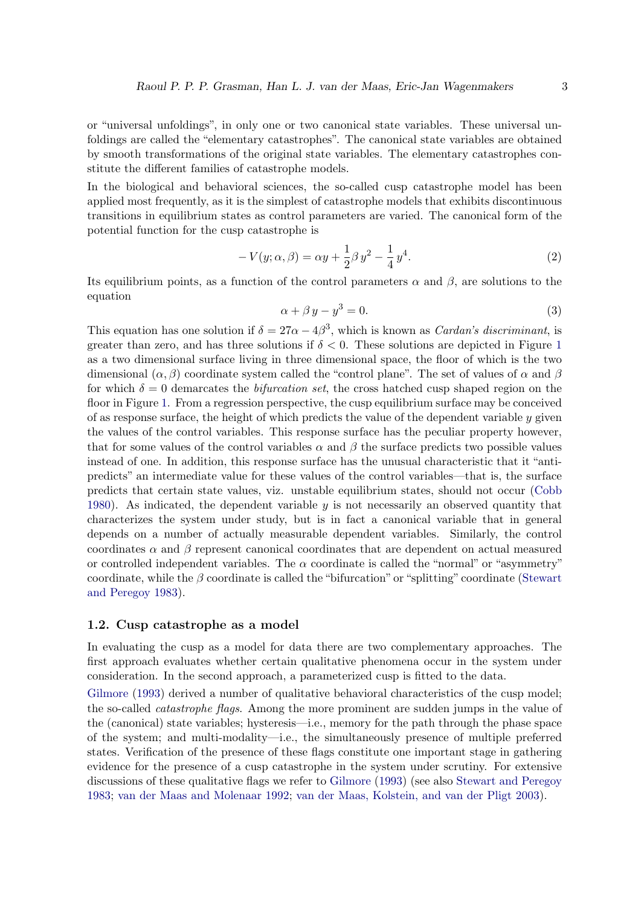or "universal unfoldings", in only one or two canonical state variables. These universal unfoldings are called the "elementary catastrophes". The canonical state variables are obtained by smooth transformations of the original state variables. The elementary catastrophes constitute the different families of catastrophe models.

In the biological and behavioral sciences, the so-called cusp catastrophe model has been applied most frequently, as it is the simplest of catastrophe models that exhibits discontinuous transitions in equilibrium states as control parameters are varied. The canonical form of the potential function for the cusp catastrophe is

$$
-V(y; \alpha, \beta) = \alpha y + \frac{1}{2}\beta y^2 - \frac{1}{4}y^4.
$$
 (2)

<span id="page-2-0"></span>Its equilibrium points, as a function of the control parameters  $\alpha$  and  $\beta$ , are solutions to the equation

$$
\alpha + \beta y - y^3 = 0. \tag{3}
$$

This equation has one solution if  $\delta = 27\alpha - 4\beta^3$ , which is known as *Cardan's discriminant*, is greater than zero, and has three solutions if  $\delta < 0$ . These solutions are depicted in Figure [1](#page-3-0) as a two dimensional surface living in three dimensional space, the floor of which is the two dimensional  $(\alpha, \beta)$  coordinate system called the "control plane". The set of values of  $\alpha$  and  $\beta$ for which  $\delta = 0$  demarcates the *bifurcation set*, the cross hatched cusp shaped region on the floor in Figure [1.](#page-3-0) From a regression perspective, the cusp equilibrium surface may be conceived of as response surface, the height of which predicts the value of the dependent variable  $y$  given the values of the control variables. This response surface has the peculiar property however, that for some values of the control variables  $\alpha$  and  $\beta$  the surface predicts two possible values instead of one. In addition, this response surface has the unusual characteristic that it "antipredicts" an intermediate value for these values of the control variables—that is, the surface predicts that certain state values, viz. unstable equilibrium states, should not occur [\(Cobb](#page-20-4) [1980\)](#page-20-4). As indicated, the dependent variable  $y$  is not necessarily an observed quantity that characterizes the system under study, but is in fact a canonical variable that in general depends on a number of actually measurable dependent variables. Similarly, the control coordinates  $\alpha$  and  $\beta$  represent canonical coordinates that are dependent on actual measured or controlled independent variables. The  $\alpha$  coordinate is called the "normal" or "asymmetry" coordinate, while the  $\beta$  coordinate is called the "bifurcation" or "splitting" coordinate [\(Stewart](#page-22-3) [and Peregoy](#page-22-3) [1983\)](#page-22-3).

#### 1.2. Cusp catastrophe as a model

In evaluating the cusp as a model for data there are two complementary approaches. The first approach evaluates whether certain qualitative phenomena occur in the system under consideration. In the second approach, a parameterized cusp is fitted to the data.

[Gilmore](#page-21-2) [\(1993\)](#page-21-2) derived a number of qualitative behavioral characteristics of the cusp model; the so-called catastrophe flags. Among the more prominent are sudden jumps in the value of the (canonical) state variables; hysteresis—i.e., memory for the path through the phase space of the system; and multi-modality—i.e., the simultaneously presence of multiple preferred states. Verification of the presence of these flags constitute one important stage in gathering evidence for the presence of a cusp catastrophe in the system under scrutiny. For extensive discussions of these qualitative flags we refer to [Gilmore](#page-21-2) [\(1993\)](#page-21-2) (see also [Stewart and Peregoy](#page-22-3) [1983;](#page-22-3) [van der Maas and Molenaar](#page-22-10) [1992;](#page-22-10) [van der Maas, Kolstein, and van der Pligt](#page-22-11) [2003\)](#page-22-11).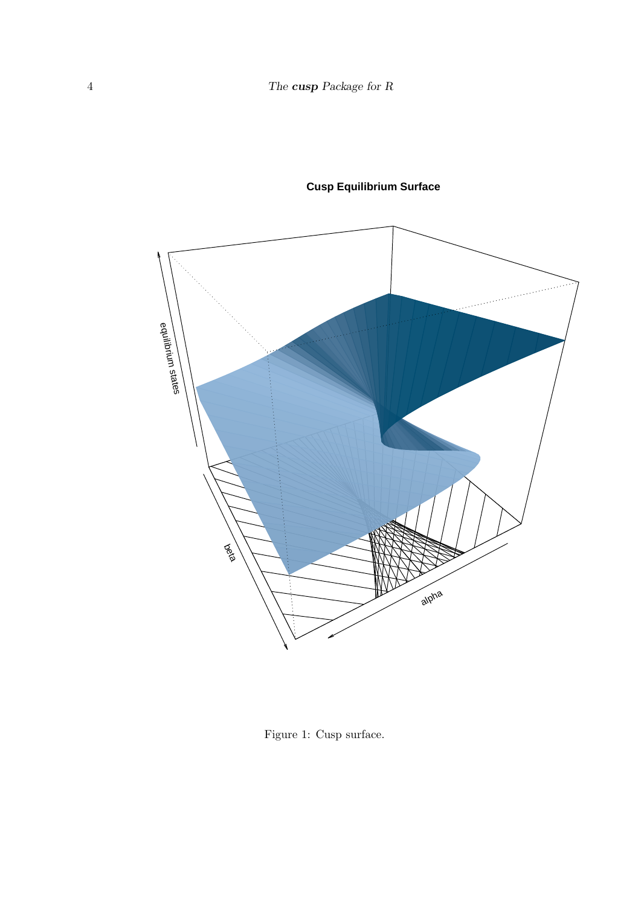



<span id="page-3-0"></span>Figure 1: Cusp surface.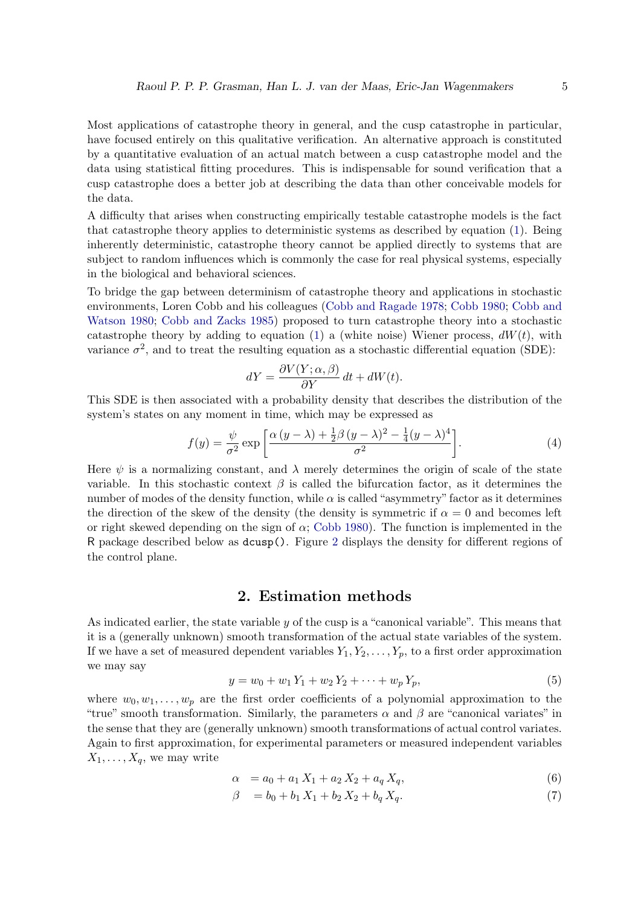Most applications of catastrophe theory in general, and the cusp catastrophe in particular, have focused entirely on this qualitative verification. An alternative approach is constituted by a quantitative evaluation of an actual match between a cusp catastrophe model and the data using statistical fitting procedures. This is indispensable for sound verification that a cusp catastrophe does a better job at describing the data than other conceivable models for the data.

A difficulty that arises when constructing empirically testable catastrophe models is the fact that catastrophe theory applies to deterministic systems as described by equation [\(1\)](#page-1-0). Being inherently deterministic, catastrophe theory cannot be applied directly to systems that are subject to random influences which is commonly the case for real physical systems, especially in the biological and behavioral sciences.

To bridge the gap between determinism of catastrophe theory and applications in stochastic environments, Loren Cobb and his colleagues [\(Cobb and Ragade](#page-20-2) [1978;](#page-20-2) [Cobb](#page-20-4) [1980;](#page-20-4) [Cobb and](#page-20-0) [Watson](#page-20-0) [1980;](#page-20-0) [Cobb and Zacks](#page-21-12) [1985\)](#page-21-12) proposed to turn catastrophe theory into a stochastic catastrophe theory by adding to equation [\(1\)](#page-1-0) a (white noise) Wiener process,  $dW(t)$ , with variance  $\sigma^2$ , and to treat the resulting equation as a stochastic differential equation (SDE):

<span id="page-4-0"></span>
$$
dY = \frac{\partial V(Y; \alpha, \beta)}{\partial Y} dt + dW(t).
$$

This SDE is then associated with a probability density that describes the distribution of the system's states on any moment in time, which may be expressed as

$$
f(y) = \frac{\psi}{\sigma^2} \exp\left[\frac{\alpha\left(y-\lambda\right) + \frac{1}{2}\beta\left(y-\lambda\right)^2 - \frac{1}{4}(y-\lambda)^4}{\sigma^2}\right].\tag{4}
$$

Here  $\psi$  is a normalizing constant, and  $\lambda$  merely determines the origin of scale of the state variable. In this stochastic context  $\beta$  is called the bifurcation factor, as it determines the number of modes of the density function, while  $\alpha$  is called "asymmetry" factor as it determines the direction of the skew of the density (the density is symmetric if  $\alpha = 0$  and becomes left or right skewed depending on the sign of  $\alpha$ ; [Cobb](#page-20-4) [1980\)](#page-20-4). The function is implemented in the R package described below as dcusp(). Figure [2](#page-5-0) displays the density for different regions of the control plane.

## 2. Estimation methods

<span id="page-4-1"></span>As indicated earlier, the state variable  $y$  of the cusp is a "canonical variable". This means that it is a (generally unknown) smooth transformation of the actual state variables of the system. If we have a set of measured dependent variables  $Y_1, Y_2, \ldots, Y_p$ , to a first order approximation we may say

$$
y = w_0 + w_1 Y_1 + w_2 Y_2 + \dots + w_p Y_p,
$$
\n<sup>(5)</sup>

where  $w_0, w_1, \ldots, w_p$  are the first order coefficients of a polynomial approximation to the "true" smooth transformation. Similarly, the parameters  $\alpha$  and  $\beta$  are "canonical variates" in the sense that they are (generally unknown) smooth transformations of actual control variates. Again to first approximation, for experimental parameters or measured independent variables  $X_1, \ldots, X_q$ , we may write

<span id="page-4-2"></span>
$$
\alpha = a_0 + a_1 X_1 + a_2 X_2 + a_q X_q, \tag{6}
$$

$$
\beta = b_0 + b_1 X_1 + b_2 X_2 + b_q X_q. \tag{7}
$$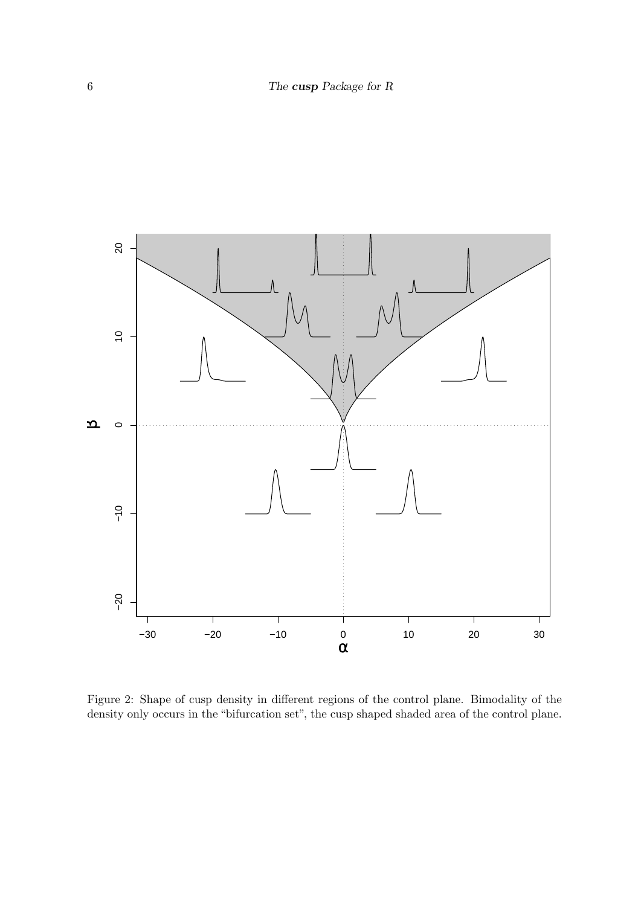

<span id="page-5-0"></span>Figure 2: Shape of cusp density in different regions of the control plane. Bimodality of the density only occurs in the "bifurcation set", the cusp shaped shaded area of the control plane.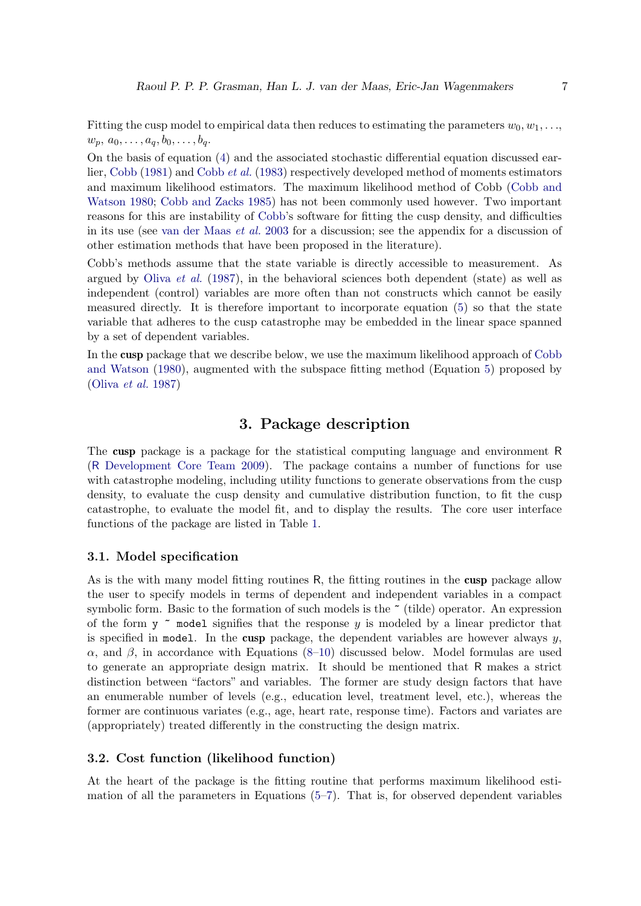Fitting the cusp model to empirical data then reduces to estimating the parameters  $w_0, w_1, \ldots$  $w_p, a_0, \ldots, a_q, b_0, \ldots, b_q.$ 

On the basis of equation [\(4\)](#page-4-0) and the associated stochastic differential equation discussed earlier, [Cobb](#page-20-3) [\(1981\)](#page-20-3) and [Cobb](#page-20-1) et al. [\(1983\)](#page-20-1) respectively developed method of moments estimators and maximum likelihood estimators. The maximum likelihood method of Cobb [\(Cobb and](#page-20-0) [Watson](#page-20-0) [1980;](#page-20-0) [Cobb and Zacks](#page-21-12) [1985\)](#page-21-12) has not been commonly used however. Two important reasons for this are instability of [Cobb'](#page-20-3)s software for fitting the cusp density, and difficulties in its use (see [van der Maas](#page-22-11) et al. [2003](#page-22-11) for a discussion; see the appendix for a discussion of other estimation methods that have been proposed in the literature).

Cobb's methods assume that the state variable is directly accessible to measurement. As argued by [Oliva](#page-21-7) *et al.* [\(1987\)](#page-21-7), in the behavioral sciences both dependent (state) as well as independent (control) variables are more often than not constructs which cannot be easily measured directly. It is therefore important to incorporate equation [\(5\)](#page-4-1) so that the state variable that adheres to the cusp catastrophe may be embedded in the linear space spanned by a set of dependent variables.

In the cusp package that we describe below, we use the maximum likelihood approach of [Cobb](#page-20-0) [and Watson](#page-20-0) [\(1980\)](#page-20-0), augmented with the subspace fitting method (Equation [5\)](#page-4-1) proposed by [\(Oliva](#page-21-7) et al. [1987\)](#page-21-7)

## 3. Package description

The cusp package is a package for the statistical computing language and environment R (R [Development Core Team](#page-21-10) [2009\)](#page-21-10). The package contains a number of functions for use with catastrophe modeling, including utility functions to generate observations from the cusp density, to evaluate the cusp density and cumulative distribution function, to fit the cusp catastrophe, to evaluate the model fit, and to display the results. The core user interface functions of the package are listed in Table [1.](#page-7-0)

#### 3.1. Model specification

As is the with many model fitting routines R, the fitting routines in the cusp package allow the user to specify models in terms of dependent and independent variables in a compact symbolic form. Basic to the formation of such models is the  $\tilde{\phantom{a}}$  (tilde) operator. An expression of the form  $y \sim$  model signifies that the response y is modeled by a linear predictor that is specified in model. In the cusp package, the dependent variables are however always  $y$ , α, and β, in accordance with Equations  $(8-10)$  $(8-10)$  discussed below. Model formulas are used to generate an appropriate design matrix. It should be mentioned that R makes a strict distinction between "factors" and variables. The former are study design factors that have an enumerable number of levels (e.g., education level, treatment level, etc.), whereas the former are continuous variates (e.g., age, heart rate, response time). Factors and variates are (appropriately) treated differently in the constructing the design matrix.

#### 3.2. Cost function (likelihood function)

At the heart of the package is the fitting routine that performs maximum likelihood estimation of all the parameters in Equations  $(5-7)$  $(5-7)$ . That is, for observed dependent variables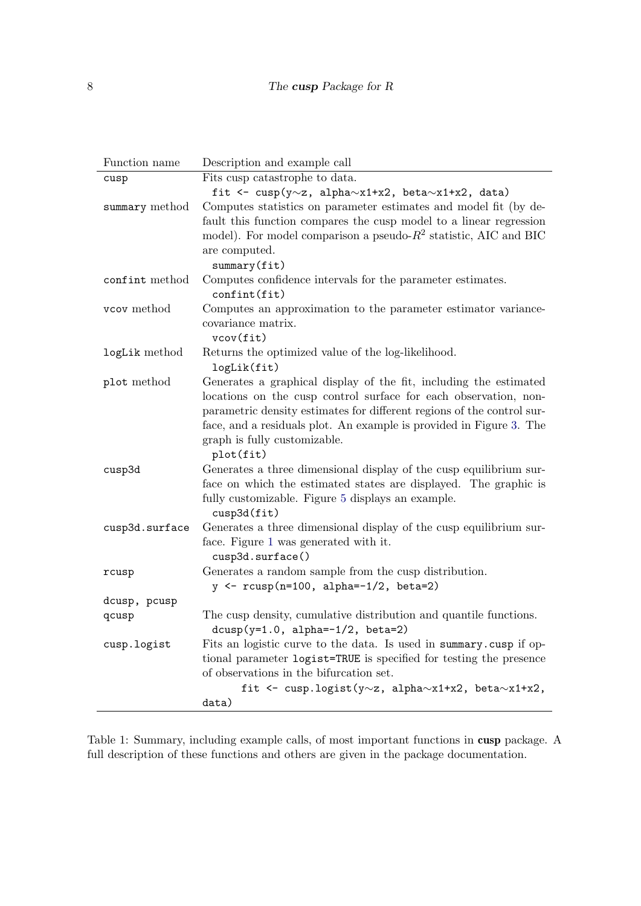| Function name  | Description and example call                                           |
|----------------|------------------------------------------------------------------------|
| cusp           | Fits cusp catastrophe to data.                                         |
|                | fit <- cusp(y~z, alpha~x1+x2, beta~x1+x2, data)                        |
| summary method | Computes statistics on parameter estimates and model fit (by de-       |
|                | fault this function compares the cusp model to a linear regression     |
|                | model). For model comparison a pseudo- $R^2$ statistic, AIC and BIC    |
|                | are computed.                                                          |
|                | summary(fit)                                                           |
| confint method | Computes confidence intervals for the parameter estimates.             |
|                | $\text{confint}(\text{fit})$                                           |
| vcov method    | Computes an approximation to the parameter estimator variance-         |
|                | covariance matrix.                                                     |
|                | vcov(fit)                                                              |
| logLik method  | Returns the optimized value of the log-likelihood.                     |
|                | logLik(fit)                                                            |
| plot method    | Generates a graphical display of the fit, including the estimated      |
|                | locations on the cusp control surface for each observation, non-       |
|                | parametric density estimates for different regions of the control sur- |
|                | face, and a residuals plot. An example is provided in Figure 3. The    |
|                | graph is fully customizable.                                           |
|                | plot(fit)                                                              |
| cusp3d         | Generates a three dimensional display of the cusp equilibrium sur-     |
|                | face on which the estimated states are displayed. The graphic is       |
|                | fully customizable. Figure 5 displays an example.                      |
|                | cusp3d(fit)                                                            |
| cusp3d.surface | Generates a three dimensional display of the cusp equilibrium sur-     |
|                | face. Figure 1 was generated with it.                                  |
|                | cusp3d.surface()                                                       |
| rcusp          | Generates a random sample from the cusp distribution.                  |
|                | $y \leftarrow r \text{cusp}(n=100, alpha=-1/2, beta=2)$                |
| dcusp, pcusp   |                                                                        |
| qcusp          | The cusp density, cumulative distribution and quantile functions.      |
|                | $dcusp(y=1.0, alpha=-1/2, beta=2)$                                     |
| cusp.logist    | Fits an logistic curve to the data. Is used in summary cusp if op-     |
|                | tional parameter logist=TRUE is specified for testing the presence     |
|                | of observations in the bifurcation set.                                |
|                | fit <- cusp.logist(y~z, alpha~x1+x2, beta~x1+x2,                       |
|                | data)                                                                  |

<span id="page-7-0"></span>Table 1: Summary, including example calls, of most important functions in cusp package. A full description of these functions and others are given in the package documentation.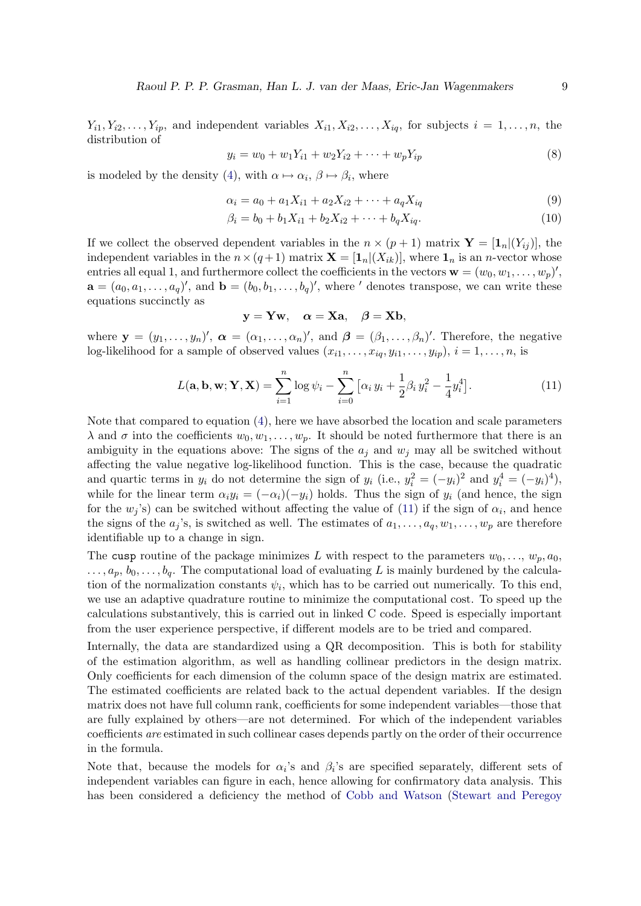$Y_{i1}, Y_{i2}, \ldots, Y_{ip}$ , and independent variables  $X_{i1}, X_{i2}, \ldots, X_{iq}$ , for subjects  $i = 1, \ldots, n$ , the distribution of

<span id="page-8-0"></span>
$$
y_i = w_0 + w_1 Y_{i1} + w_2 Y_{i2} + \dots + w_p Y_{ip}
$$
\n<sup>(8)</sup>

is modeled by the density [\(4\)](#page-4-0), with  $\alpha \mapsto \alpha_i$ ,  $\beta \mapsto \beta_i$ , where

$$
\alpha_i = a_0 + a_1 X_{i1} + a_2 X_{i2} + \dots + a_q X_{iq}
$$
\n(9)

<span id="page-8-1"></span>
$$
\beta_i = b_0 + b_1 X_{i1} + b_2 X_{i2} + \dots + b_q X_{iq}.
$$
\n(10)

If we collect the observed dependent variables in the  $n \times (p+1)$  matrix  $\mathbf{Y} = [\mathbf{1}_n|(Y_{ij})]$ , the independent variables in the  $n \times (q+1)$  matrix  $\mathbf{X} = [\mathbf{1}_n](X_{ik})$ , where  $\mathbf{1}_n$  is an *n*-vector whose entries all equal 1, and furthermore collect the coefficients in the vectors  $\mathbf{w} = (w_0, w_1, \dots, w_p)'$ ,  $\mathbf{a} = (a_0, a_1, \dots, a_q)'$ , and  $\mathbf{b} = (b_0, b_1, \dots, b_q)'$ , where ' denotes transpose, we can write these equations succinctly as

<span id="page-8-2"></span>
$$
\mathbf{y} = \mathbf{Y} \mathbf{w}, \quad \boldsymbol{\alpha} = \mathbf{X} \mathbf{a}, \quad \boldsymbol{\beta} = \mathbf{X} \mathbf{b},
$$

where  $\mathbf{y} = (y_1, \ldots, y_n)'$ ,  $\boldsymbol{\alpha} = (\alpha_1, \ldots, \alpha_n)'$ , and  $\boldsymbol{\beta} = (\beta_1, \ldots, \beta_n)'$ . Therefore, the negative log-likelihood for a sample of observed values  $(x_{i1}, \ldots, x_{iq}, y_{i1}, \ldots, y_{ip}), i = 1, \ldots, n$ , is

$$
L(\mathbf{a}, \mathbf{b}, \mathbf{w}; \mathbf{Y}, \mathbf{X}) = \sum_{i=1}^{n} \log \psi_i - \sum_{i=0}^{n} \left[ \alpha_i y_i + \frac{1}{2} \beta_i y_i^2 - \frac{1}{4} y_i^4 \right].
$$
 (11)

Note that compared to equation [\(4\)](#page-4-0), here we have absorbed the location and scale parameters  $\lambda$  and  $\sigma$  into the coefficients  $w_0, w_1, \ldots, w_p$ . It should be noted furthermore that there is an ambiguity in the equations above: The signs of the  $a_j$  and  $w_j$  may all be switched without affecting the value negative log-likelihood function. This is the case, because the quadratic and quartic terms in  $y_i$  do not determine the sign of  $y_i$  (i.e.,  $y_i^2 = (-y_i)^2$  and  $y_i^4 = (-y_i)^4$ ), while for the linear term  $\alpha_i y_i = (-\alpha_i)(-y_i)$  holds. Thus the sign of  $y_i$  (and hence, the sign for the  $w_j$ 's) can be switched without affecting the value of [\(11\)](#page-8-2) if the sign of  $\alpha_i$ , and hence the signs of the  $a_j$ 's, is switched as well. The estimates of  $a_1, \ldots, a_q, w_1, \ldots, w_p$  are therefore identifiable up to a change in sign.

The cusp routine of the package minimizes L with respect to the parameters  $w_0, \ldots, w_p, a_0$ ,  $\ldots, a_p, b_0, \ldots, b_q$ . The computational load of evaluating L is mainly burdened by the calculation of the normalization constants  $\psi_i$ , which has to be carried out numerically. To this end, we use an adaptive quadrature routine to minimize the computational cost. To speed up the calculations substantively, this is carried out in linked C code. Speed is especially important from the user experience perspective, if different models are to be tried and compared.

Internally, the data are standardized using a QR decomposition. This is both for stability of the estimation algorithm, as well as handling collinear predictors in the design matrix. Only coefficients for each dimension of the column space of the design matrix are estimated. The estimated coefficients are related back to the actual dependent variables. If the design matrix does not have full column rank, coefficients for some independent variables—those that are fully explained by others—are not determined. For which of the independent variables coefficients are estimated in such collinear cases depends partly on the order of their occurrence in the formula.

Note that, because the models for  $\alpha_i$ 's and  $\beta_i$ 's are specified separately, different sets of independent variables can figure in each, hence allowing for confirmatory data analysis. This has been considered a deficiency the method of [Cobb and Watson](#page-20-0) [\(Stewart and Peregoy](#page-22-3)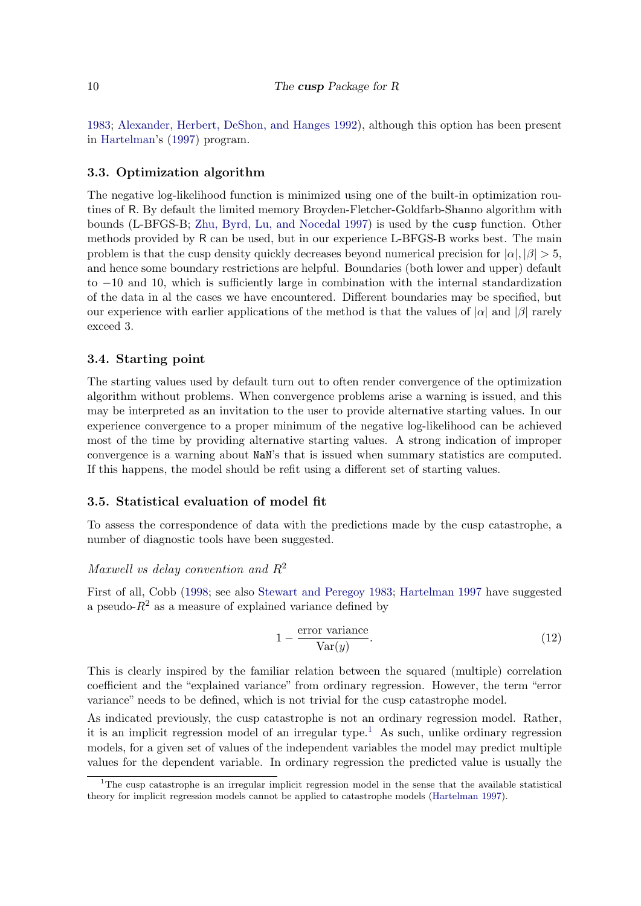[1983;](#page-22-3) [Alexander, Herbert, DeShon, and Hanges](#page-20-5) [1992\)](#page-20-5), although this option has been present in [Hartelman'](#page-21-11)s [\(1997\)](#page-21-11) program.

#### 3.3. Optimization algorithm

The negative log-likelihood function is minimized using one of the built-in optimization routines of R. By default the limited memory Broyden-Fletcher-Goldfarb-Shanno algorithm with bounds (L-BFGS-B; [Zhu, Byrd, Lu, and Nocedal](#page-22-12) [1997\)](#page-22-12) is used by the cusp function. Other methods provided by R can be used, but in our experience L-BFGS-B works best. The main problem is that the cusp density quickly decreases beyond numerical precision for  $|\alpha|, |\beta| > 5$ , and hence some boundary restrictions are helpful. Boundaries (both lower and upper) default to −10 and 10, which is sufficiently large in combination with the internal standardization of the data in al the cases we have encountered. Different boundaries may be specified, but our experience with earlier applications of the method is that the values of  $|\alpha|$  and  $|\beta|$  rarely exceed 3.

#### 3.4. Starting point

The starting values used by default turn out to often render convergence of the optimization algorithm without problems. When convergence problems arise a warning is issued, and this may be interpreted as an invitation to the user to provide alternative starting values. In our experience convergence to a proper minimum of the negative log-likelihood can be achieved most of the time by providing alternative starting values. A strong indication of improper convergence is a warning about NaN's that is issued when summary statistics are computed. If this happens, the model should be refit using a different set of starting values.

### 3.5. Statistical evaluation of model fit

To assess the correspondence of data with the predictions made by the cusp catastrophe, a number of diagnostic tools have been suggested.

#### Maxwell vs delay convention and  $R^2$

First of all, Cobb [\(1998;](#page-20-6) see also [Stewart and Peregoy](#page-22-3) [1983;](#page-22-3) [Hartelman](#page-21-11) [1997](#page-21-11) have suggested a pseudo- $R^2$  as a measure of explained variance defined by

$$
1 - \frac{\text{error variance}}{\text{Var}(y)}.\tag{12}
$$

This is clearly inspired by the familiar relation between the squared (multiple) correlation coefficient and the "explained variance" from ordinary regression. However, the term "error variance" needs to be defined, which is not trivial for the cusp catastrophe model.

As indicated previously, the cusp catastrophe is not an ordinary regression model. Rather, it is an implicit regression model of an irregular type.<sup>[1](#page-9-0)</sup> As such, unlike ordinary regression models, for a given set of values of the independent variables the model may predict multiple values for the dependent variable. In ordinary regression the predicted value is usually the

<span id="page-9-0"></span><sup>&</sup>lt;sup>1</sup>The cusp catastrophe is an irregular implicit regression model in the sense that the available statistical theory for implicit regression models cannot be applied to catastrophe models [\(Hartelman](#page-21-11) [1997\)](#page-21-11).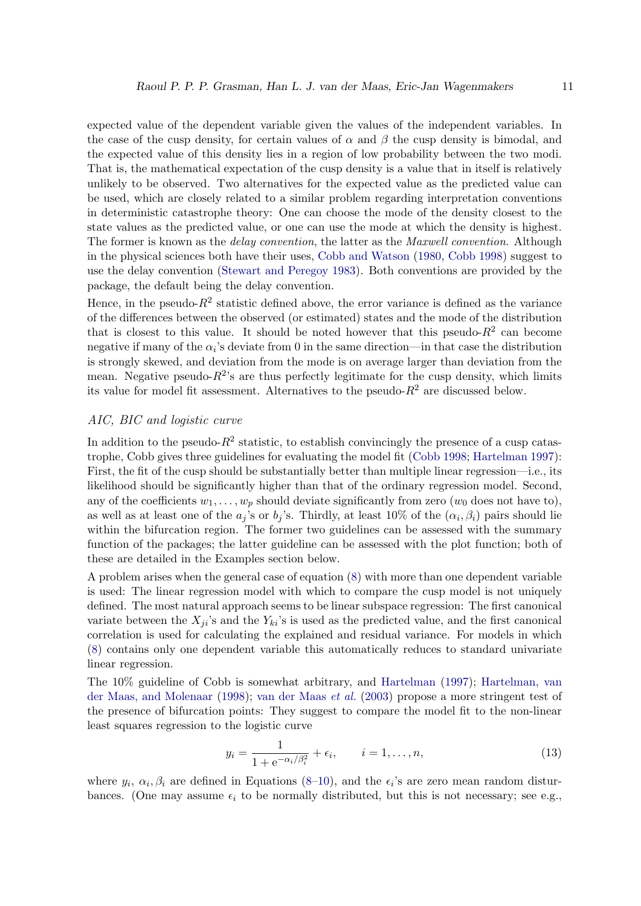expected value of the dependent variable given the values of the independent variables. In the case of the cusp density, for certain values of  $\alpha$  and  $\beta$  the cusp density is bimodal, and the expected value of this density lies in a region of low probability between the two modi. That is, the mathematical expectation of the cusp density is a value that in itself is relatively unlikely to be observed. Two alternatives for the expected value as the predicted value can be used, which are closely related to a similar problem regarding interpretation conventions in deterministic catastrophe theory: One can choose the mode of the density closest to the state values as the predicted value, or one can use the mode at which the density is highest. The former is known as the *delay convention*, the latter as the *Maxwell convention*. Although in the physical sciences both have their uses, [Cobb and Watson](#page-20-0) [\(1980,](#page-20-0) [Cobb](#page-20-6) [1998\)](#page-20-6) suggest to use the delay convention [\(Stewart and Peregoy](#page-22-3) [1983\)](#page-22-3). Both conventions are provided by the package, the default being the delay convention.

Hence, in the pseudo- $R^2$  statistic defined above, the error variance is defined as the variance of the differences between the observed (or estimated) states and the mode of the distribution that is closest to this value. It should be noted however that this pseudo- $R^2$  can become negative if many of the  $\alpha_i$ 's deviate from 0 in the same direction—in that case the distribution is strongly skewed, and deviation from the mode is on average larger than deviation from the mean. Negative pseudo- $R^2$ 's are thus perfectly legitimate for the cusp density, which limits its value for model fit assessment. Alternatives to the pseudo- $R^2$  are discussed below.

#### AIC, BIC and logistic curve

In addition to the pseudo- $R^2$  statistic, to establish convincingly the presence of a cusp catastrophe, Cobb gives three guidelines for evaluating the model fit [\(Cobb](#page-20-6) [1998;](#page-20-6) [Hartelman](#page-21-11) [1997\)](#page-21-11): First, the fit of the cusp should be substantially better than multiple linear regression—i.e., its likelihood should be significantly higher than that of the ordinary regression model. Second, any of the coefficients  $w_1, \ldots, w_p$  should deviate significantly from zero  $(w_0$  does not have to), as well as at least one of the  $a_j$ 's or  $b_j$ 's. Thirdly, at least 10% of the  $(\alpha_i, \beta_i)$  pairs should lie within the bifurcation region. The former two guidelines can be assessed with the summary function of the packages; the latter guideline can be assessed with the plot function; both of these are detailed in the Examples section below.

A problem arises when the general case of equation [\(8\)](#page-8-0) with more than one dependent variable is used: The linear regression model with which to compare the cusp model is not uniquely defined. The most natural approach seems to be linear subspace regression: The first canonical variate between the  $X_{ji}$ 's and the  $Y_{ki}$ 's is used as the predicted value, and the first canonical correlation is used for calculating the explained and residual variance. For models in which [\(8\)](#page-8-0) contains only one dependent variable this automatically reduces to standard univariate linear regression.

The 10% guideline of Cobb is somewhat arbitrary, and [Hartelman](#page-21-11) [\(1997\)](#page-21-11); [Hartelman, van](#page-21-13) [der Maas, and Molenaar](#page-21-13) [\(1998\)](#page-21-13); [van der Maas](#page-22-11) et al. [\(2003\)](#page-22-11) propose a more stringent test of the presence of bifurcation points: They suggest to compare the model fit to the non-linear least squares regression to the logistic curve

$$
y_i = \frac{1}{1 + e^{-\alpha_i/\beta_i^2}} + \epsilon_i, \qquad i = 1, ..., n,
$$
 (13)

where  $y_i$ ,  $\alpha_i$ ,  $\beta_i$  are defined in Equations [\(8–](#page-8-0)[10\)](#page-8-1), and the  $\epsilon_i$ 's are zero mean random disturbances. (One may assume  $\epsilon_i$  to be normally distributed, but this is not necessary; see e.g.,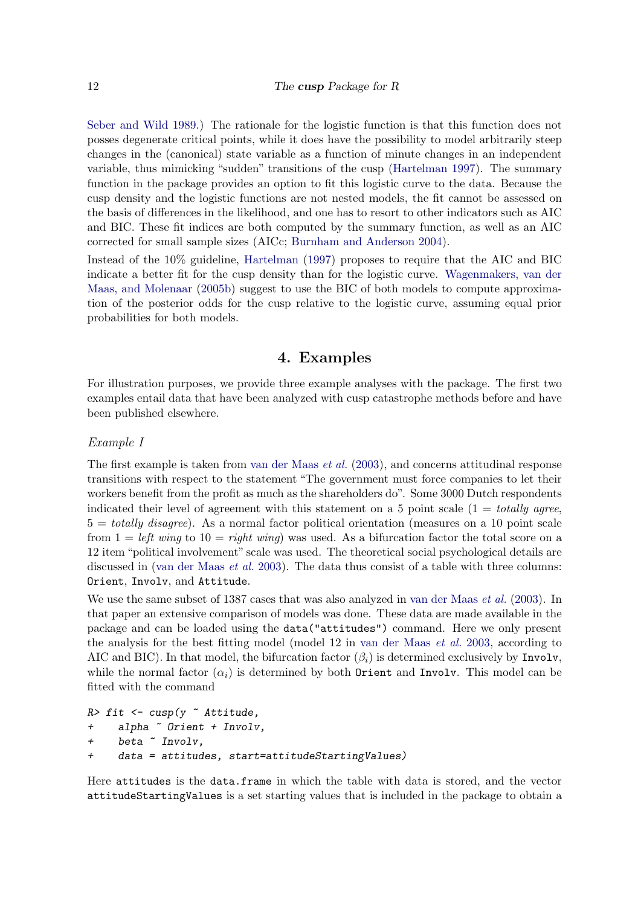[Seber and Wild](#page-21-14) [1989.](#page-21-14)) The rationale for the logistic function is that this function does not posses degenerate critical points, while it does have the possibility to model arbitrarily steep changes in the (canonical) state variable as a function of minute changes in an independent variable, thus mimicking "sudden" transitions of the cusp [\(Hartelman](#page-21-11) [1997\)](#page-21-11). The summary function in the package provides an option to fit this logistic curve to the data. Because the cusp density and the logistic functions are not nested models, the fit cannot be assessed on the basis of differences in the likelihood, and one has to resort to other indicators such as AIC and BIC. These fit indices are both computed by the summary function, as well as an AIC corrected for small sample sizes (AICc; [Burnham and Anderson](#page-20-7) [2004\)](#page-20-7).

Instead of the 10% guideline, [Hartelman](#page-21-11) [\(1997\)](#page-21-11) proposes to require that the AIC and BIC indicate a better fit for the cusp density than for the logistic curve. [Wagenmakers, van der](#page-22-13) [Maas, and Molenaar](#page-22-13) [\(2005b\)](#page-22-13) suggest to use the BIC of both models to compute approximation of the posterior odds for the cusp relative to the logistic curve, assuming equal prior probabilities for both models.

## 4. Examples

For illustration purposes, we provide three example analyses with the package. The first two examples entail data that have been analyzed with cusp catastrophe methods before and have been published elsewhere.

#### Example I

The first example is taken from [van der Maas](#page-22-11) et al. [\(2003\)](#page-22-11), and concerns attitudinal response transitions with respect to the statement "The government must force companies to let their workers benefit from the profit as much as the shareholders do". Some 3000 Dutch respondents indicated their level of agreement with this statement on a 5 point scale  $(1 = totally \text{ agree},$  $5 = totally disagree$ ). As a normal factor political orientation (measures on a 10 point scale from  $1 = left$  wing to  $10 = right$  wing) was used. As a bifurcation factor the total score on a 12 item "political involvement" scale was used. The theoretical social psychological details are discussed in [\(van der Maas](#page-22-11) *et al.* [2003\)](#page-22-11). The data thus consist of a table with three columns: Orient, Involv, and Attitude.

We use the same subset of 1387 cases that was also analyzed in [van der Maas](#page-22-11) *et al.* [\(2003\)](#page-22-11). In that paper an extensive comparison of models was done. These data are made available in the package and can be loaded using the data("attitudes") command. Here we only present the analysis for the best fitting model (model 12 in [van der Maas](#page-22-11) et al. [2003,](#page-22-11) according to AIC and BIC). In that model, the bifurcation factor  $(\beta_i)$  is determined exclusively by Involv, while the normal factor  $(\alpha_i)$  is determined by both Orient and Involv. This model can be fitted with the command

```
R> fit <- cusp(y \tilde{ } Attitude,
+ alpha ~ Orient + Involv,
+ beta ~ Involv,
+ data = attitudes, start=attitudeStartingValues)
```
Here attitudes is the data.frame in which the table with data is stored, and the vector attitudeStartingValues is a set starting values that is included in the package to obtain a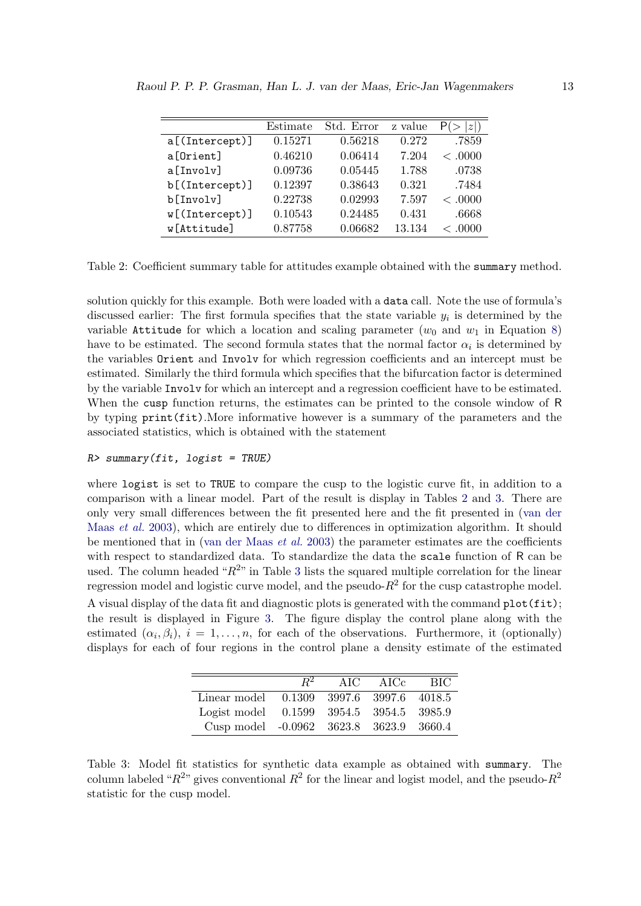|                | Estimate | Std. Error | z value | z       |
|----------------|----------|------------|---------|---------|
| a[(Intercept)] | 0.15271  | 0.56218    | 0.272   | .7859   |
| a[Orient]      | 0.46210  | 0.06414    | 7.204   | < 0.000 |
| a[Involv]      | 0.09736  | 0.05445    | 1.788   | .0738   |
| b[(Intercept)] | 0.12397  | 0.38643    | 0.321   | .7484   |
| b[Involv]      | 0.22738  | 0.02993    | 7.597   | < 0.000 |
| w[(Intercept)] | 0.10543  | 0.24485    | 0.431   | .6668   |
| w[Attitude]    | 0.87758  | 0.06682    | 13.134  | < .0000 |

<span id="page-12-0"></span>Table 2: Coefficient summary table for attitudes example obtained with the summary method.

solution quickly for this example. Both were loaded with a data call. Note the use of formula's discussed earlier: The first formula specifies that the state variable  $y_i$  is determined by the variable Attitude for which a location and scaling parameter  $(w_0 \text{ and } w_1 \text{ in Equation 8})$ have to be estimated. The second formula states that the normal factor  $\alpha_i$  is determined by the variables Orient and Involv for which regression coefficients and an intercept must be estimated. Similarly the third formula which specifies that the bifurcation factor is determined by the variable Involv for which an intercept and a regression coefficient have to be estimated. When the cusp function returns, the estimates can be printed to the console window of R by typing print(fit).More informative however is a summary of the parameters and the associated statistics, which is obtained with the statement

#### $R$ > summary(fit, logist = TRUE)

where logist is set to TRUE to compare the cusp to the logistic curve fit, in addition to a comparison with a linear model. Part of the result is display in Tables [2](#page-12-0) and [3.](#page-12-1) There are only very small differences between the fit presented here and the fit presented in [\(van der](#page-22-11) [Maas](#page-22-11) et al. [2003\)](#page-22-11), which are entirely due to differences in optimization algorithm. It should be mentioned that in [\(van der Maas](#page-22-11)  $et al. 2003$ ) the parameter estimates are the coefficients with respect to standardized data. To standardize the data the scale function of R can be used. The column headed " $R^{2n}$  in Table [3](#page-12-1) lists the squared multiple correlation for the linear regression model and logistic curve model, and the pseudo- $R^2$  for the cusp catastrophe model. A visual display of the data fit and diagnostic plots is generated with the command plot(fit); the result is displayed in Figure [3.](#page-13-0) The figure display the control plane along with the estimated  $(\alpha_i, \beta_i), i = 1, \ldots, n$ , for each of the observations. Furthermore, it (optionally) displays for each of four regions in the control plane a density estimate of the estimated

|                                          | $R^2$ | AIC $\overline{C}$ | AICc | <b>BIC</b> |
|------------------------------------------|-------|--------------------|------|------------|
| Linear model 0.1309 3997.6 3997.6 4018.5 |       |                    |      |            |
| Logist model 0.1599 3954.5 3954.5 3985.9 |       |                    |      |            |
| Cusp model -0.0962 3623.8 3623.9 3660.4  |       |                    |      |            |

<span id="page-12-1"></span>Table 3: Model fit statistics for synthetic data example as obtained with summary. The column labeled " $R^{2n}$  gives conventional  $R^2$  for the linear and logist model, and the pseudo- $R^2$ statistic for the cusp model.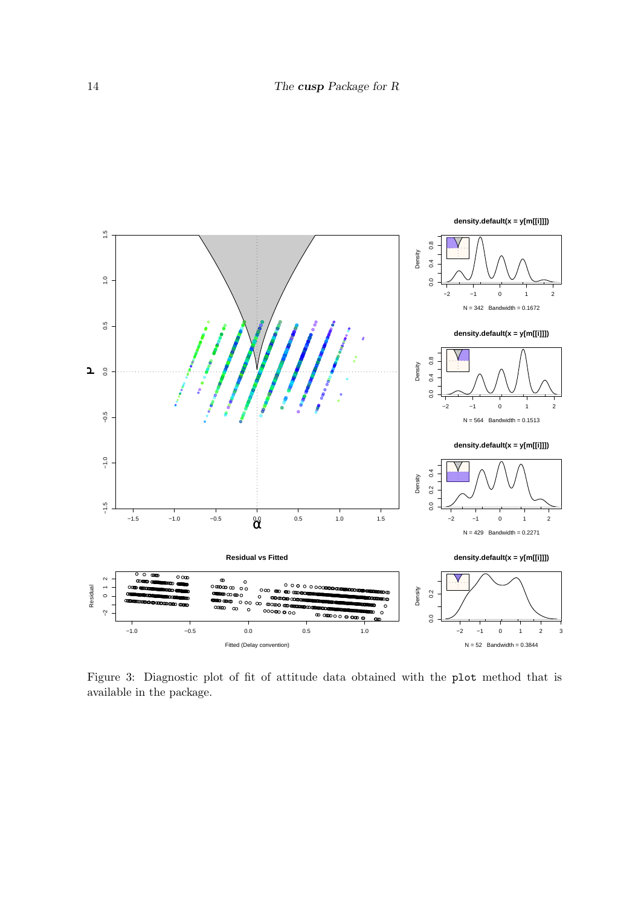

<span id="page-13-0"></span>Figure 3: Diagnostic plot of fit of attitude data obtained with the plot method that is available in the package.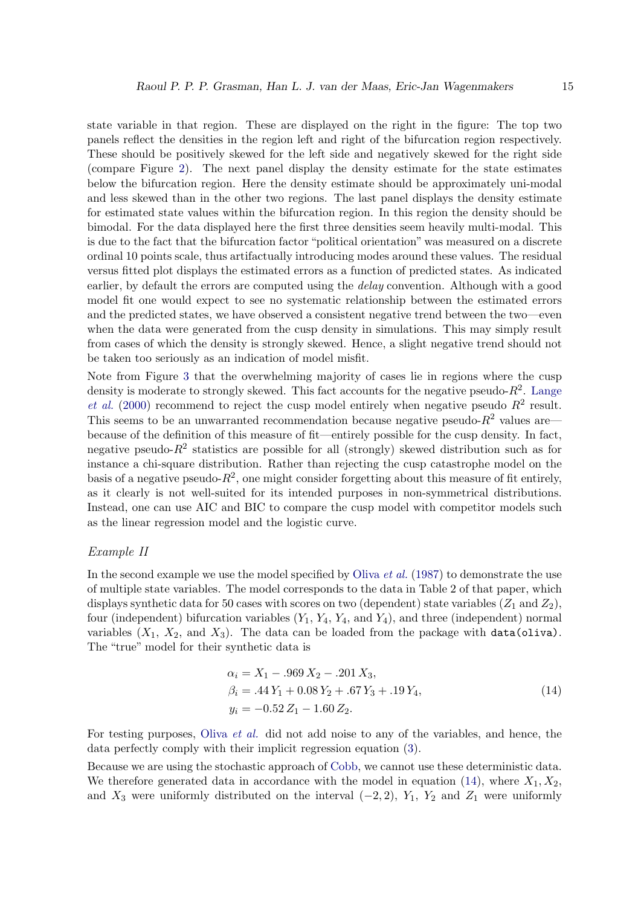state variable in that region. These are displayed on the right in the figure: The top two panels reflect the densities in the region left and right of the bifurcation region respectively. These should be positively skewed for the left side and negatively skewed for the right side (compare Figure [2\)](#page-5-0). The next panel display the density estimate for the state estimates below the bifurcation region. Here the density estimate should be approximately uni-modal and less skewed than in the other two regions. The last panel displays the density estimate for estimated state values within the bifurcation region. In this region the density should be bimodal. For the data displayed here the first three densities seem heavily multi-modal. This is due to the fact that the bifurcation factor "political orientation" was measured on a discrete ordinal 10 points scale, thus artifactually introducing modes around these values. The residual versus fitted plot displays the estimated errors as a function of predicted states. As indicated earlier, by default the errors are computed using the *delay* convention. Although with a good model fit one would expect to see no systematic relationship between the estimated errors and the predicted states, we have observed a consistent negative trend between the two—even when the data were generated from the cusp density in simulations. This may simply result from cases of which the density is strongly skewed. Hence, a slight negative trend should not be taken too seriously as an indication of model misfit.

Note from Figure [3](#page-13-0) that the overwhelming majority of cases lie in regions where the cusp density is moderate to strongly skewed. This fact accounts for the negative pseudo- $R^2$ . [Lange](#page-21-8) *[et al.](#page-21-8)* [\(2000\)](#page-21-8) recommend to reject the cusp model entirely when negative pseudo  $R^2$  result. This seems to be an unwarranted recommendation because negative pseudo- $R^2$  values are because of the definition of this measure of fit—entirely possible for the cusp density. In fact, negative pseudo- $R^2$  statistics are possible for all (strongly) skewed distribution such as for instance a chi-square distribution. Rather than rejecting the cusp catastrophe model on the basis of a negative pseudo- $R^2$ , one might consider forgetting about this measure of fit entirely, as it clearly is not well-suited for its intended purposes in non-symmetrical distributions. Instead, one can use AIC and BIC to compare the cusp model with competitor models such as the linear regression model and the logistic curve.

#### Example II

In the second example we use the model specified by [Oliva](#page-21-7) *et al.* [\(1987\)](#page-21-7) to demonstrate the use of multiple state variables. The model corresponds to the data in Table 2 of that paper, which displays synthetic data for 50 cases with scores on two (dependent) state variables  $(Z_1 \text{ and } Z_2)$ , four (independent) bifurcation variables  $(Y_1, Y_4, Y_4, \text{ and } Y_4)$ , and three (independent) normal variables  $(X_1, X_2, \text{ and } X_3)$ . The data can be loaded from the package with data(oliva). The "true" model for their synthetic data is

<span id="page-14-0"></span>
$$
\alpha_i = X_1 - .969 X_2 - .201 X_3,\n\beta_i = .44 Y_1 + 0.08 Y_2 + .67 Y_3 + .19 Y_4,\ny_i = -0.52 Z_1 - 1.60 Z_2.
$$
\n(14)

For testing purposes, [Oliva](#page-21-7) et al. did not add noise to any of the variables, and hence, the data perfectly comply with their implicit regression equation [\(3\)](#page-2-0).

Because we are using the stochastic approach of [Cobb,](#page-20-4) we cannot use these deterministic data. We therefore generated data in accordance with the model in equation [\(14\)](#page-14-0), where  $X_1, X_2$ , and  $X_3$  were uniformly distributed on the interval  $(-2, 2)$ ,  $Y_1$ ,  $Y_2$  and  $Z_1$  were uniformly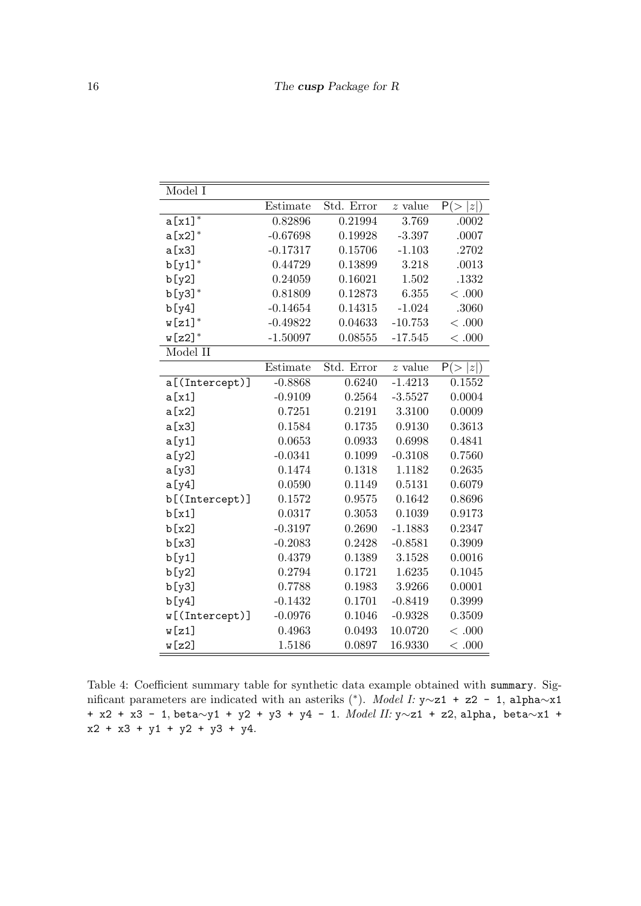| Model I        |            |            |                        |         |
|----------------|------------|------------|------------------------|---------|
|                | Estimate   | Std. Error | $\boldsymbol{z}$ value | P(> z ) |
| $a[x1]^*$      | 0.82896    | 0.21994    | 3.769                  | .0002   |
| $a[x2]^*$      | $-0.67698$ | 0.19928    | $-3.397$               | .0007   |
| a [x3]         | $-0.17317$ | 0.15706    | $-1.103$               | .2702   |
| $b[y1]^*$      | 0.44729    | 0.13899    | 3.218                  | .0013   |
| b[y2]          | 0.24059    | 0.16021    | 1.502                  | .1332   |
| $b[y3]^*$      | 0.81809    | 0.12873    | 6.355                  | < 0.000 |
| b[y4]          | $-0.14654$ | 0.14315    | $-1.024$               | .3060   |
| $w[z1]^*$      | $-0.49822$ | 0.04633    | $-10.753$              | < .000  |
| $w[z2]^*$      | $-1.50097$ | 0.08555    | $-17.545$              | < .000  |
| Model II       |            |            |                        |         |
|                | Estimate   | Std. Error | $z$ value              | P(> z ) |
| a[(Intercept)] | $-0.8868$  | 0.6240     | $-1.4213$              | 0.1552  |
| a[x1]          | $-0.9109$  | 0.2564     | $-3.5527$              | 0.0004  |
| a[x2]          | 0.7251     | 0.2191     | 3.3100                 | 0.0009  |
| a[x3]          | 0.1584     | 0.1735     | 0.9130                 | 0.3613  |
| a[y1]          | 0.0653     | 0.0933     | 0.6998                 | 0.4841  |
| a[y2]          | $-0.0341$  | 0.1099     | $-0.3108$              | 0.7560  |
| a[y3]          | 0.1474     | 0.1318     | 1.1182                 | 0.2635  |
| a [y4]         | 0.0590     | 0.1149     | 0.5131                 | 0.6079  |
| b[(Intercept)] | 0.1572     | 0.9575     | 0.1642                 | 0.8696  |
| b[x1]          | 0.0317     | 0.3053     | 0.1039                 | 0.9173  |
| b[x2]          | $-0.3197$  | 0.2690     | $-1.1883$              | 0.2347  |
| b[x3]          | $-0.2083$  | 0.2428     | $-0.8581$              | 0.3909  |
| b[y1]          | 0.4379     | 0.1389     | 3.1528                 | 0.0016  |
| b[y2]          | 0.2794     | 0.1721     | 1.6235                 | 0.1045  |
| b[y3]          | 0.7788     | 0.1983     | 3.9266                 | 0.0001  |
| b[y4]          | $-0.1432$  | 0.1701     | $-0.8419$              | 0.3999  |
| w[(Intercept)] | $-0.0976$  | 0.1046     | $-0.9328$              | 0.3509  |
| w[z1]          | 0.4963     | 0.0493     | 10.0720                | < .000  |
| w[z2]          | 1.5186     | 0.0897     | 16.9330                | < .000  |

<span id="page-15-0"></span>Table 4: Coefficient summary table for synthetic data example obtained with summary. Significant parameters are indicated with an asteriks (<sup>∗</sup> ). Model I: y∼z1 + z2 - 1, alpha∼x1 + x2 + x3 - 1, beta∼y1 + y2 + y3 + y4 - 1. Model II: y∼z1 + z2, alpha, beta∼x1 + x2 + x3 + y1 + y2 + y3 + y4.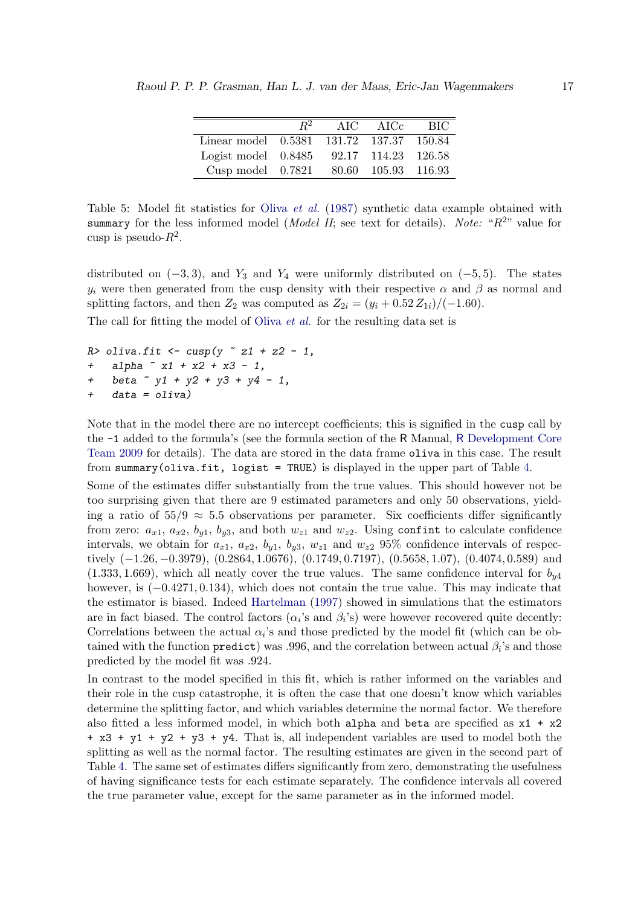|                                          | $R^2$ | AIC AICe | - BIC |
|------------------------------------------|-------|----------|-------|
| Linear model 0.5381 131.72 137.37 150.84 |       |          |       |
| Logist model 0.8485 92.17 114.23 126.58  |       |          |       |
| Cusp model 0.7821 80.60 105.93 116.93    |       |          |       |

<span id="page-16-0"></span>Table 5: Model fit statistics for Oliva [et al.](#page-21-7) [\(1987\)](#page-21-7) synthetic data example obtained with summary for the less informed model (*Model II*; see text for details). Note: " $R^{2n}$  value for cusp is pseudo- $R^2$ .

distributed on  $(-3, 3)$ , and Y<sub>3</sub> and Y<sub>4</sub> were uniformly distributed on  $(-5, 5)$ . The states  $y_i$  were then generated from the cusp density with their respective  $\alpha$  and  $\beta$  as normal and splitting factors, and then  $Z_2$  was computed as  $Z_{2i} = (y_i + 0.52 Z_{1i})/(-1.60)$ .

The call for fitting the model of [Oliva](#page-21-7) *et al.* for the resulting data set is

```
R> oliva.fit <- cusp(y \tilde{z} + z^2 - 1,+ alpha x_1 + x_2 + x_3 - 1,
+ beta \degree y1 + y2 + y3 + y4 - 1,
+ data = oliva)
```
Note that in the model there are no intercept coefficients; this is signified in the cusp call by the -1 added to the formula's (see the formula section of the R Manual, R [Development Core](#page-21-10) [Team](#page-21-10) [2009](#page-21-10) for details). The data are stored in the data frame oliva in this case. The result from summary(oliva.fit, logist = TRUE) is displayed in the upper part of Table [4.](#page-15-0)

Some of the estimates differ substantially from the true values. This should however not be too surprising given that there are 9 estimated parameters and only 50 observations, yielding a ratio of  $55/9 \approx 5.5$  observations per parameter. Six coefficients differ significantly from zero:  $a_{x1}$ ,  $a_{x2}$ ,  $b_{y1}$ ,  $b_{y3}$ , and both  $w_{z1}$  and  $w_{z2}$ . Using confinition calculate confidence intervals, we obtain for  $a_{x1}$ ,  $a_{x2}$ ,  $b_{y1}$ ,  $b_{y3}$ ,  $w_{z1}$  and  $w_{z2}$  95% confidence intervals of respectively (−1.26, −0.3979), (0.2864, 1.0676), (0.1749, 0.7197), (0.5658, 1.07), (0.4074, 0.589) and  $(1.333, 1.669)$ , which all neatly cover the true values. The same confidence interval for  $b_{\nu4}$ however, is (−0.4271, 0.134), which does not contain the true value. This may indicate that the estimator is biased. Indeed [Hartelman](#page-21-11) [\(1997\)](#page-21-11) showed in simulations that the estimators are in fact biased. The control factors  $(\alpha_i)$ 's and  $\beta_i$ 's) were however recovered quite decently: Correlations between the actual  $\alpha_i$ 's and those predicted by the model fit (which can be obtained with the function  $\text{predict}$ ) was .996, and the correlation between actual  $\beta_i$ 's and those predicted by the model fit was .924.

In contrast to the model specified in this fit, which is rather informed on the variables and their role in the cusp catastrophe, it is often the case that one doesn't know which variables determine the splitting factor, and which variables determine the normal factor. We therefore also fitted a less informed model, in which both alpha and beta are specified as  $x1 + x2$  $+ x3 + y1 + y2 + y3 + y4$ . That is, all independent variables are used to model both the splitting as well as the normal factor. The resulting estimates are given in the second part of Table [4.](#page-15-0) The same set of estimates differs significantly from zero, demonstrating the usefulness of having significance tests for each estimate separately. The confidence intervals all covered the true parameter value, except for the same parameter as in the informed model.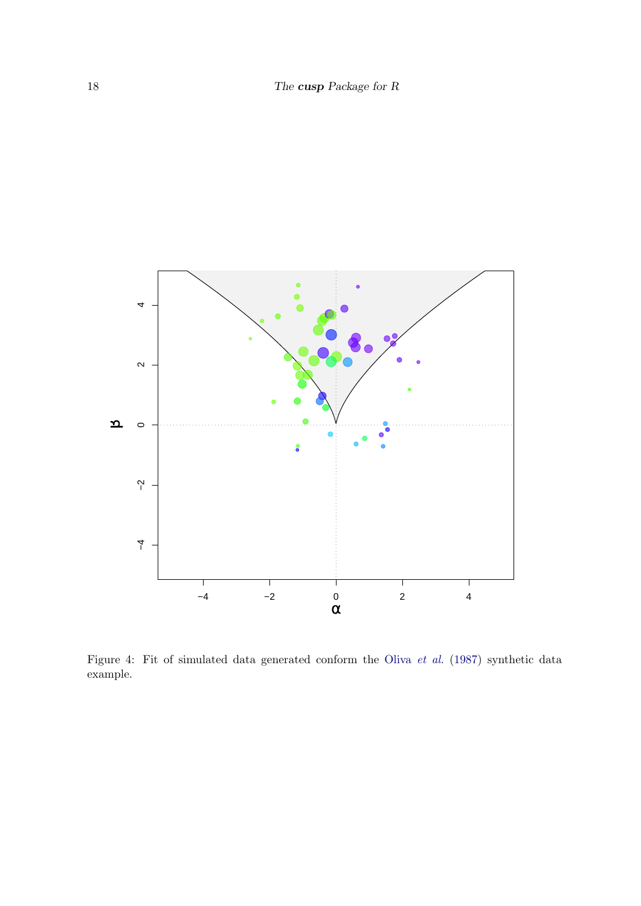

<span id="page-17-0"></span>Figure 4: Fit of simulated data generated conform the Oliva [et al.](#page-21-7) [\(1987\)](#page-21-7) synthetic data example.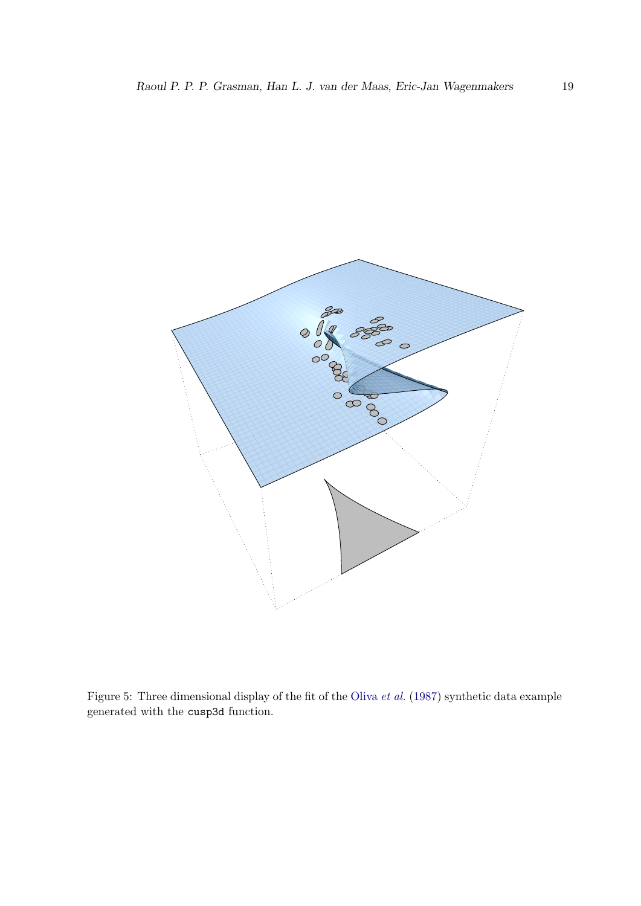

<span id="page-18-0"></span>Figure 5: Three dimensional display of the fit of the [Oliva](#page-21-7) et al. [\(1987\)](#page-21-7) synthetic data example generated with the cusp3d function.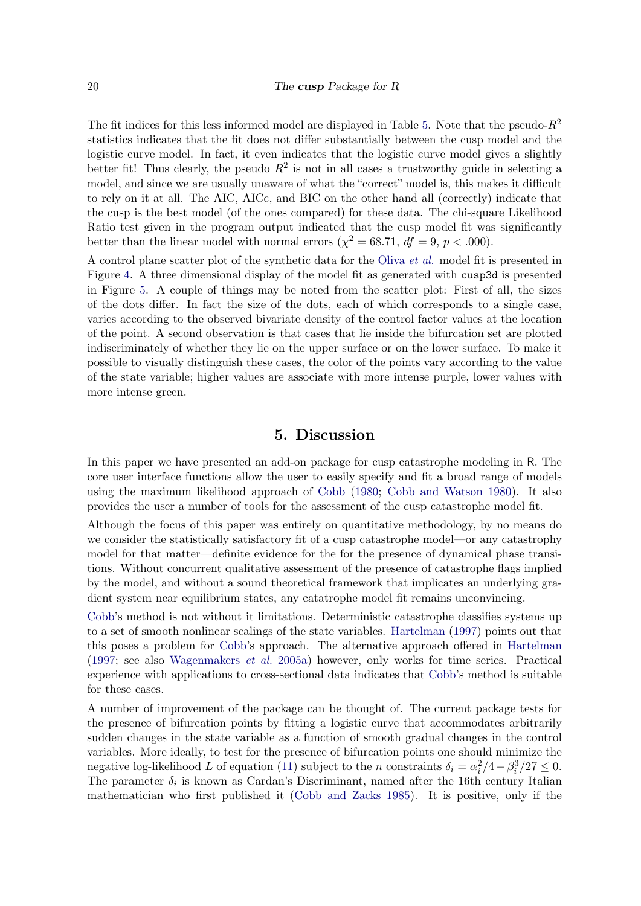The fit indices for this less informed model are displayed in Table [5.](#page-16-0) Note that the pseudo- $R^2$ statistics indicates that the fit does not differ substantially between the cusp model and the logistic curve model. In fact, it even indicates that the logistic curve model gives a slightly better fit! Thus clearly, the pseudo  $R^2$  is not in all cases a trustworthy guide in selecting a model, and since we are usually unaware of what the "correct" model is, this makes it difficult to rely on it at all. The AIC, AICc, and BIC on the other hand all (correctly) indicate that the cusp is the best model (of the ones compared) for these data. The chi-square Likelihood Ratio test given in the program output indicated that the cusp model fit was significantly better than the linear model with normal errors  $(\chi^2 = 68.71, df = 9, p < .000)$ .

A control plane scatter plot of the synthetic data for the [Oliva](#page-21-7) et al. model fit is presented in Figure [4.](#page-17-0) A three dimensional display of the model fit as generated with cusp3d is presented in Figure [5.](#page-18-0) A couple of things may be noted from the scatter plot: First of all, the sizes of the dots differ. In fact the size of the dots, each of which corresponds to a single case, varies according to the observed bivariate density of the control factor values at the location of the point. A second observation is that cases that lie inside the bifurcation set are plotted indiscriminately of whether they lie on the upper surface or on the lower surface. To make it possible to visually distinguish these cases, the color of the points vary according to the value of the state variable; higher values are associate with more intense purple, lower values with more intense green.

## 5. Discussion

In this paper we have presented an add-on package for cusp catastrophe modeling in R. The core user interface functions allow the user to easily specify and fit a broad range of models using the maximum likelihood approach of [Cobb](#page-20-4) [\(1980;](#page-20-4) [Cobb and Watson](#page-20-0) [1980\)](#page-20-0). It also provides the user a number of tools for the assessment of the cusp catastrophe model fit.

Although the focus of this paper was entirely on quantitative methodology, by no means do we consider the statistically satisfactory fit of a cusp catastrophe model—or any catastrophy model for that matter—definite evidence for the for the presence of dynamical phase transitions. Without concurrent qualitative assessment of the presence of catastrophe flags implied by the model, and without a sound theoretical framework that implicates an underlying gradient system near equilibrium states, any catatrophe model fit remains unconvincing.

[Cobb'](#page-20-4)s method is not without it limitations. Deterministic catastrophe classifies systems up to a set of smooth nonlinear scalings of the state variables. [Hartelman](#page-21-11) [\(1997\)](#page-21-11) points out that this poses a problem for [Cobb'](#page-20-4)s approach. The alternative approach offered in [Hartelman](#page-21-11) [\(1997;](#page-21-11) see also [Wagenmakers](#page-22-8) et al. [2005a\)](#page-22-8) however, only works for time series. Practical experience with applications to cross-sectional data indicates that [Cobb'](#page-20-4)s method is suitable for these cases.

A number of improvement of the package can be thought of. The current package tests for the presence of bifurcation points by fitting a logistic curve that accommodates arbitrarily sudden changes in the state variable as a function of smooth gradual changes in the control variables. More ideally, to test for the presence of bifurcation points one should minimize the negative log-likelihood L of equation [\(11\)](#page-8-2) subject to the n constraints  $\delta_i = \alpha_i^2/4 - \beta_i^3/27 \le 0$ . The parameter  $\delta_i$  is known as Cardan's Discriminant, named after the 16th century Italian mathematician who first published it [\(Cobb and Zacks](#page-21-12) [1985\)](#page-21-12). It is positive, only if the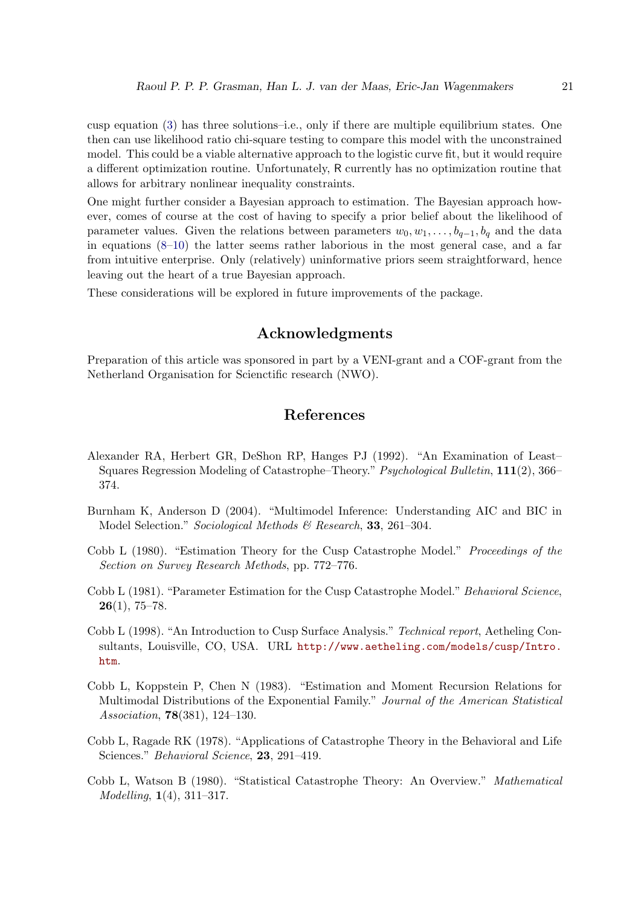cusp equation [\(3\)](#page-2-0) has three solutions–i.e., only if there are multiple equilibrium states. One then can use likelihood ratio chi-square testing to compare this model with the unconstrained model. This could be a viable alternative approach to the logistic curve fit, but it would require a different optimization routine. Unfortunately, R currently has no optimization routine that allows for arbitrary nonlinear inequality constraints.

One might further consider a Bayesian approach to estimation. The Bayesian approach however, comes of course at the cost of having to specify a prior belief about the likelihood of parameter values. Given the relations between parameters  $w_0, w_1, \ldots, b_{q-1}, b_q$  and the data in equations  $(8-10)$  $(8-10)$  the latter seems rather laborious in the most general case, and a far from intuitive enterprise. Only (relatively) uninformative priors seem straightforward, hence leaving out the heart of a true Bayesian approach.

These considerations will be explored in future improvements of the package.

## Acknowledgments

Preparation of this article was sponsored in part by a VENI-grant and a COF-grant from the Netherland Organisation for Scienctific research (NWO).

## References

- <span id="page-20-5"></span>Alexander RA, Herbert GR, DeShon RP, Hanges PJ (1992). "An Examination of Least– Squares Regression Modeling of Catastrophe–Theory." Psychological Bulletin, 111(2), 366– 374.
- <span id="page-20-7"></span>Burnham K, Anderson D (2004). "Multimodel Inference: Understanding AIC and BIC in Model Selection." Sociological Methods & Research, 33, 261-304.
- <span id="page-20-4"></span>Cobb L (1980). "Estimation Theory for the Cusp Catastrophe Model." Proceedings of the Section on Survey Research Methods, pp. 772–776.
- <span id="page-20-3"></span>Cobb L (1981). "Parameter Estimation for the Cusp Catastrophe Model." Behavioral Science,  $26(1), 75-78.$
- <span id="page-20-6"></span>Cobb L (1998). "An Introduction to Cusp Surface Analysis." Technical report, Aetheling Consultants, Louisville, CO, USA. URL [http://www.aetheling.com/models/cusp/Intro.](http://www.aetheling.com/models/cusp/Intro.htm) [htm](http://www.aetheling.com/models/cusp/Intro.htm).
- <span id="page-20-1"></span>Cobb L, Koppstein P, Chen N (1983). "Estimation and Moment Recursion Relations for Multimodal Distributions of the Exponential Family." Journal of the American Statistical Association, 78(381), 124–130.
- <span id="page-20-2"></span>Cobb L, Ragade RK (1978). "Applications of Catastrophe Theory in the Behavioral and Life Sciences." *Behavioral Science*, **23**, 291–419.
- <span id="page-20-0"></span>Cobb L, Watson B (1980). "Statistical Catastrophe Theory: An Overview." Mathematical Modelling, 1(4), 311–317.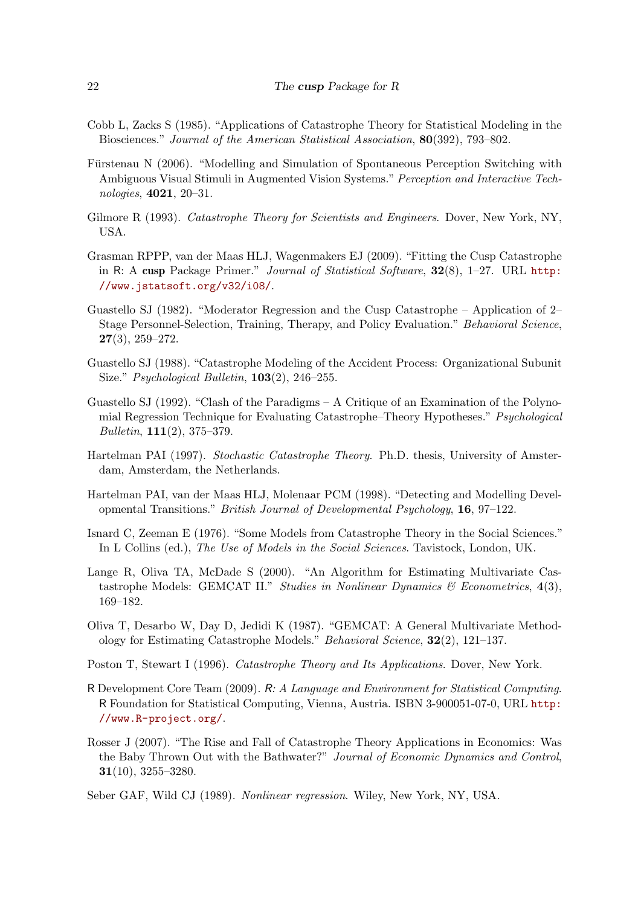- <span id="page-21-12"></span>Cobb L, Zacks S (1985). "Applications of Catastrophe Theory for Statistical Modeling in the Biosciences." Journal of the American Statistical Association, 80(392), 793–802.
- <span id="page-21-5"></span>Fürstenau N (2006). "Modelling and Simulation of Spontaneous Perception Switching with Ambiguous Visual Stimuli in Augmented Vision Systems." Perception and Interactive Technologies, 4021, 20–31.
- <span id="page-21-2"></span>Gilmore R (1993). Catastrophe Theory for Scientists and Engineers. Dover, New York, NY, USA.
- <span id="page-21-0"></span>Grasman RPPP, van der Maas HLJ, Wagenmakers EJ (2009). "Fitting the Cusp Catastrophe in R: A cusp Package Primer." Journal of Statistical Software, 32(8), 1–27. URL [http:](http://www.jstatsoft.org/v32/i08/) [//www.jstatsoft.org/v32/i08/](http://www.jstatsoft.org/v32/i08/).
- <span id="page-21-6"></span>Guastello SJ (1982). "Moderator Regression and the Cusp Catastrophe – Application of 2– Stage Personnel-Selection, Training, Therapy, and Policy Evaluation." Behavioral Science, 27(3), 259–272.
- <span id="page-21-15"></span>Guastello SJ (1988). "Catastrophe Modeling of the Accident Process: Organizational Subunit Size." *Psychological Bulletin*, **103**(2), 246–255.
- <span id="page-21-9"></span>Guastello SJ (1992). "Clash of the Paradigms – A Critique of an Examination of the Polynomial Regression Technique for Evaluating Catastrophe–Theory Hypotheses." Psychological Bulletin, 111(2), 375–379.
- <span id="page-21-11"></span>Hartelman PAI (1997). Stochastic Catastrophe Theory. Ph.D. thesis, University of Amsterdam, Amsterdam, the Netherlands.
- <span id="page-21-13"></span>Hartelman PAI, van der Maas HLJ, Molenaar PCM (1998). "Detecting and Modelling Developmental Transitions." British Journal of Developmental Psychology, 16, 97–122.
- <span id="page-21-3"></span>Isnard C, Zeeman E (1976). "Some Models from Catastrophe Theory in the Social Sciences." In L Collins (ed.), The Use of Models in the Social Sciences. Tavistock, London, UK.
- <span id="page-21-8"></span>Lange R, Oliva TA, McDade S (2000). "An Algorithm for Estimating Multivariate Castastrophe Models: GEMCAT II." Studies in Nonlinear Dynamics  $\mathcal C$  Econometrics, 4(3), 169–182.
- <span id="page-21-7"></span>Oliva T, Desarbo W, Day D, Jedidi K (1987). "GEMCAT: A General Multivariate Methodology for Estimating Catastrophe Models." Behavioral Science, 32(2), 121–137.
- <span id="page-21-1"></span>Poston T, Stewart I (1996). Catastrophe Theory and Its Applications. Dover, New York.
- <span id="page-21-10"></span>R Development Core Team (2009). R: A Language and Environment for Statistical Computing. R Foundation for Statistical Computing, Vienna, Austria. ISBN 3-900051-07-0, URL [http:](http://www.R-project.org/) [//www.R-project.org/](http://www.R-project.org/).
- <span id="page-21-4"></span>Rosser J (2007). "The Rise and Fall of Catastrophe Theory Applications in Economics: Was the Baby Thrown Out with the Bathwater?" Journal of Economic Dynamics and Control, 31(10), 3255–3280.
- <span id="page-21-14"></span>Seber GAF, Wild CJ (1989). Nonlinear regression. Wiley, New York, NY, USA.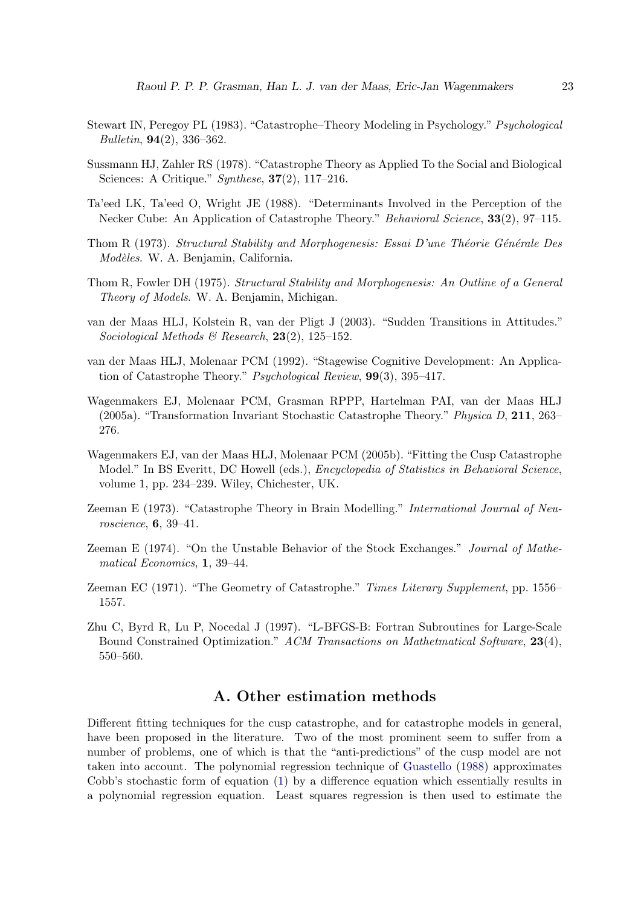- <span id="page-22-3"></span>Stewart IN, Peregoy PL (1983). "Catastrophe–Theory Modeling in Psychology." Psychological Bulletin, 94(2), 336–362.
- <span id="page-22-6"></span>Sussmann HJ, Zahler RS (1978). "Catastrophe Theory as Applied To the Social and Biological Sciences: A Critique." Synthese, 37(2), 117–216.
- <span id="page-22-7"></span>Ta'eed LK, Ta'eed O, Wright JE (1988). "Determinants Involved in the Perception of the Necker Cube: An Application of Catastrophe Theory." Behavioral Science, 33(2), 97–115.
- <span id="page-22-0"></span>Thom R (1973). Structural Stability and Morphogenesis: Essai D'une Théorie Générale Des Modèles. W. A. Benjamin, California.
- <span id="page-22-1"></span>Thom R, Fowler DH (1975). Structural Stability and Morphogenesis: An Outline of a General Theory of Models. W. A. Benjamin, Michigan.
- <span id="page-22-11"></span>van der Maas HLJ, Kolstein R, van der Pligt J (2003). "Sudden Transitions in Attitudes." Sociological Methods & Research,  $23(2)$ , 125-152.
- <span id="page-22-10"></span>van der Maas HLJ, Molenaar PCM (1992). "Stagewise Cognitive Development: An Application of Catastrophe Theory." Psychological Review, 99(3), 395–417.
- <span id="page-22-8"></span>Wagenmakers EJ, Molenaar PCM, Grasman RPPP, Hartelman PAI, van der Maas HLJ (2005a). "Transformation Invariant Stochastic Catastrophe Theory." Physica D, 211, 263– 276.
- <span id="page-22-13"></span>Wagenmakers EJ, van der Maas HLJ, Molenaar PCM (2005b). "Fitting the Cusp Catastrophe Model." In BS Everitt, DC Howell (eds.), Encyclopedia of Statistics in Behavioral Science, volume 1, pp. 234–239. Wiley, Chichester, UK.
- <span id="page-22-4"></span>Zeeman E (1973). "Catastrophe Theory in Brain Modelling." International Journal of Neuroscience, 6, 39–41.
- <span id="page-22-5"></span>Zeeman E (1974). "On the Unstable Behavior of the Stock Exchanges." Journal of Mathematical Economics, 1, 39–44.
- <span id="page-22-2"></span>Zeeman EC (1971). "The Geometry of Catastrophe." Times Literary Supplement, pp. 1556– 1557.
- <span id="page-22-12"></span>Zhu C, Byrd R, Lu P, Nocedal J (1997). "L-BFGS-B: Fortran Subroutines for Large-Scale Bound Constrained Optimization." ACM Transactions on Mathetmatical Software, 23(4), 550–560.

## A. Other estimation methods

<span id="page-22-9"></span>Different fitting techniques for the cusp catastrophe, and for catastrophe models in general, have been proposed in the literature. Two of the most prominent seem to suffer from a number of problems, one of which is that the "anti-predictions" of the cusp model are not taken into account. The polynomial regression technique of [Guastello](#page-21-15) [\(1988\)](#page-21-15) approximates Cobb's stochastic form of equation [\(1\)](#page-1-0) by a difference equation which essentially results in a polynomial regression equation. Least squares regression is then used to estimate the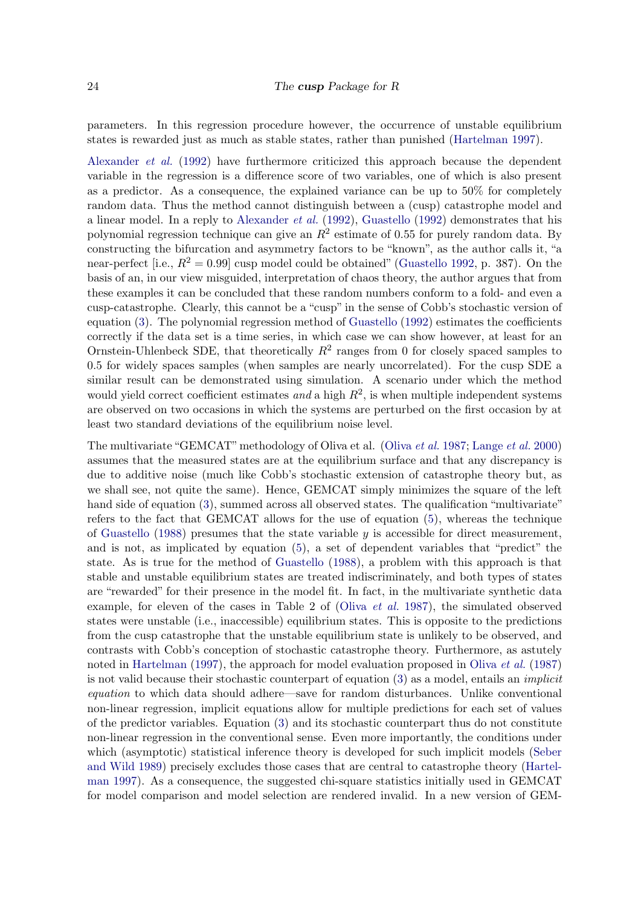parameters. In this regression procedure however, the occurrence of unstable equilibrium states is rewarded just as much as stable states, rather than punished [\(Hartelman](#page-21-11) [1997\)](#page-21-11).

[Alexander](#page-20-5) et al. [\(1992\)](#page-20-5) have furthermore criticized this approach because the dependent variable in the regression is a difference score of two variables, one of which is also present as a predictor. As a consequence, the explained variance can be up to 50% for completely random data. Thus the method cannot distinguish between a (cusp) catastrophe model and a linear model. In a reply to [Alexander](#page-20-5) *et al.* [\(1992\)](#page-21-9), [Guastello](#page-21-9) (1992) demonstrates that his polynomial regression technique can give an  $R^2$  estimate of 0.55 for purely random data. By constructing the bifurcation and asymmetry factors to be "known", as the author calls it, "a near-perfect [i.e.,  $R^2 = 0.99$ ] cusp model could be obtained" [\(Guastello](#page-21-9) [1992,](#page-21-9) p. 387). On the basis of an, in our view misguided, interpretation of chaos theory, the author argues that from these examples it can be concluded that these random numbers conform to a fold- and even a cusp-catastrophe. Clearly, this cannot be a "cusp" in the sense of Cobb's stochastic version of equation [\(3\)](#page-2-0). The polynomial regression method of [Guastello](#page-21-9) [\(1992\)](#page-21-9) estimates the coefficients correctly if the data set is a time series, in which case we can show however, at least for an Ornstein-Uhlenbeck SDE, that theoretically  $R^2$  ranges from 0 for closely spaced samples to 0.5 for widely spaces samples (when samples are nearly uncorrelated). For the cusp SDE a similar result can be demonstrated using simulation. A scenario under which the method would yield correct coefficient estimates and a high  $R^2$ , is when multiple independent systems are observed on two occasions in which the systems are perturbed on the first occasion by at least two standard deviations of the equilibrium noise level.

The multivariate "GEMCAT" methodology of Oliva et al. [\(Oliva](#page-21-7) et al. [1987;](#page-21-7) [Lange](#page-21-8) et al. [2000\)](#page-21-8) assumes that the measured states are at the equilibrium surface and that any discrepancy is due to additive noise (much like Cobb's stochastic extension of catastrophe theory but, as we shall see, not quite the same). Hence, GEMCAT simply minimizes the square of the left hand side of equation [\(3\)](#page-2-0), summed across all observed states. The qualification "multivariate" refers to the fact that GEMCAT allows for the use of equation [\(5\)](#page-4-1), whereas the technique of [Guastello](#page-21-15) [\(1988\)](#page-21-15) presumes that the state variable  $y$  is accessible for direct measurement, and is not, as implicated by equation [\(5\)](#page-4-1), a set of dependent variables that "predict" the state. As is true for the method of [Guastello](#page-21-15) [\(1988\)](#page-21-15), a problem with this approach is that stable and unstable equilibrium states are treated indiscriminately, and both types of states are "rewarded" for their presence in the model fit. In fact, in the multivariate synthetic data example, for eleven of the cases in Table 2 of [\(Oliva](#page-21-7) et al. [1987\)](#page-21-7), the simulated observed states were unstable (i.e., inaccessible) equilibrium states. This is opposite to the predictions from the cusp catastrophe that the unstable equilibrium state is unlikely to be observed, and contrasts with Cobb's conception of stochastic catastrophe theory. Furthermore, as astutely noted in [Hartelman](#page-21-11) [\(1997\)](#page-21-11), the approach for model evaluation proposed in [Oliva](#page-21-7) *et al.* [\(1987\)](#page-21-7) is not valid because their stochastic counterpart of equation  $(3)$  as a model, entails an *implicit* equation to which data should adhere—save for random disturbances. Unlike conventional non-linear regression, implicit equations allow for multiple predictions for each set of values of the predictor variables. Equation [\(3\)](#page-2-0) and its stochastic counterpart thus do not constitute non-linear regression in the conventional sense. Even more importantly, the conditions under which (asymptotic) statistical inference theory is developed for such implicit models [\(Seber](#page-21-14) [and Wild](#page-21-14) [1989\)](#page-21-14) precisely excludes those cases that are central to catastrophe theory [\(Hartel](#page-21-11)[man](#page-21-11) [1997\)](#page-21-11). As a consequence, the suggested chi-square statistics initially used in GEMCAT for model comparison and model selection are rendered invalid. In a new version of GEM-